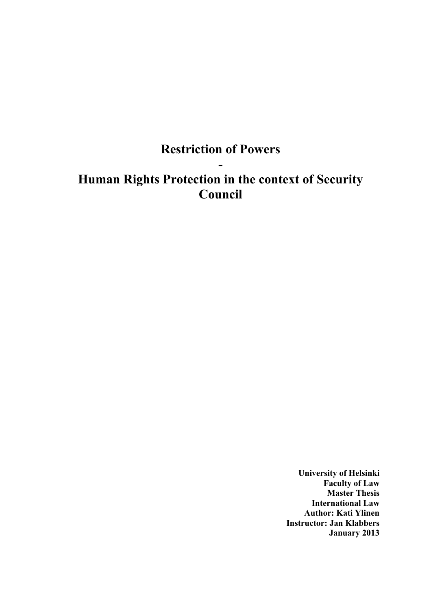# **Restriction of Powers**

**-**

# **Human Rights Protection in the context of Security Council**

**University of Helsinki Faculty of Law Master Thesis International Law Author: Kati Ylinen Instructor: Jan Klabbers January 2013**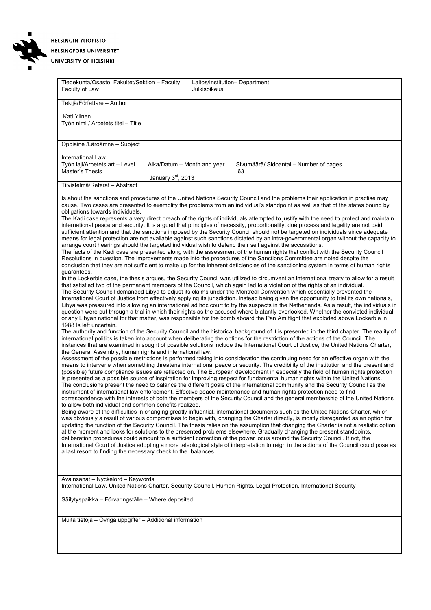

**HELSINGIN YLIOPISTO HELSINGFORS UNIVERSITET** 

#### UNIVERSITY OF HELSINKI

| Tiedekunta/Osasto Fakultet/Sektion - Faculty<br>Faculty of Law                                                                                                                                                                                                                                                                                                                                                                                                                                                                                                                                                                                                                                                                                                                                                                                                                                                                                                                                                                                                                                                                                                                                                                                                                                                                                                                                                                                                                                                                                                                                                                                                                                                                                                                                                                                                                                                                                                                                                                                                                                                                                                                                                                                                                                                                                                                                                                                                                                                                                                                                                                                                                                                                                                                                                                                                                                                                                                                                                                                                                                                                                                                                                                                                                                                                                                                                                                                                                                                                                                                                                                                                                                                                                                                                                                                                                                                                                                                                                                                                                                                                                                                                                                                                                                                                                                                                                                                                                                                                                                                                                                                                                                                                                                                                                                              |                             | Laitos/Institution- Department<br>Julkisoikeus |                                        |  |  |  |
|---------------------------------------------------------------------------------------------------------------------------------------------------------------------------------------------------------------------------------------------------------------------------------------------------------------------------------------------------------------------------------------------------------------------------------------------------------------------------------------------------------------------------------------------------------------------------------------------------------------------------------------------------------------------------------------------------------------------------------------------------------------------------------------------------------------------------------------------------------------------------------------------------------------------------------------------------------------------------------------------------------------------------------------------------------------------------------------------------------------------------------------------------------------------------------------------------------------------------------------------------------------------------------------------------------------------------------------------------------------------------------------------------------------------------------------------------------------------------------------------------------------------------------------------------------------------------------------------------------------------------------------------------------------------------------------------------------------------------------------------------------------------------------------------------------------------------------------------------------------------------------------------------------------------------------------------------------------------------------------------------------------------------------------------------------------------------------------------------------------------------------------------------------------------------------------------------------------------------------------------------------------------------------------------------------------------------------------------------------------------------------------------------------------------------------------------------------------------------------------------------------------------------------------------------------------------------------------------------------------------------------------------------------------------------------------------------------------------------------------------------------------------------------------------------------------------------------------------------------------------------------------------------------------------------------------------------------------------------------------------------------------------------------------------------------------------------------------------------------------------------------------------------------------------------------------------------------------------------------------------------------------------------------------------------------------------------------------------------------------------------------------------------------------------------------------------------------------------------------------------------------------------------------------------------------------------------------------------------------------------------------------------------------------------------------------------------------------------------------------------------------------------------------------------------------------------------------------------------------------------------------------------------------------------------------------------------------------------------------------------------------------------------------------------------------------------------------------------------------------------------------------------------------------------------------------------------------------------------------------------------------------------------------------------------------------------------------------------------------------------------------------------------------------------------------------------------------------------------------------------------------------------------------------------------------------------------------------------------------------------------------------------------------------------------------------------------------------------------------------------------------------------------------------------------------------------------------------------|-----------------------------|------------------------------------------------|----------------------------------------|--|--|--|
| Tekijä/Författare - Author                                                                                                                                                                                                                                                                                                                                                                                                                                                                                                                                                                                                                                                                                                                                                                                                                                                                                                                                                                                                                                                                                                                                                                                                                                                                                                                                                                                                                                                                                                                                                                                                                                                                                                                                                                                                                                                                                                                                                                                                                                                                                                                                                                                                                                                                                                                                                                                                                                                                                                                                                                                                                                                                                                                                                                                                                                                                                                                                                                                                                                                                                                                                                                                                                                                                                                                                                                                                                                                                                                                                                                                                                                                                                                                                                                                                                                                                                                                                                                                                                                                                                                                                                                                                                                                                                                                                                                                                                                                                                                                                                                                                                                                                                                                                                                                                                  |                             |                                                |                                        |  |  |  |
| Kati Ylinen                                                                                                                                                                                                                                                                                                                                                                                                                                                                                                                                                                                                                                                                                                                                                                                                                                                                                                                                                                                                                                                                                                                                                                                                                                                                                                                                                                                                                                                                                                                                                                                                                                                                                                                                                                                                                                                                                                                                                                                                                                                                                                                                                                                                                                                                                                                                                                                                                                                                                                                                                                                                                                                                                                                                                                                                                                                                                                                                                                                                                                                                                                                                                                                                                                                                                                                                                                                                                                                                                                                                                                                                                                                                                                                                                                                                                                                                                                                                                                                                                                                                                                                                                                                                                                                                                                                                                                                                                                                                                                                                                                                                                                                                                                                                                                                                                                 |                             |                                                |                                        |  |  |  |
| Työn nimi / Arbetets titel - Title                                                                                                                                                                                                                                                                                                                                                                                                                                                                                                                                                                                                                                                                                                                                                                                                                                                                                                                                                                                                                                                                                                                                                                                                                                                                                                                                                                                                                                                                                                                                                                                                                                                                                                                                                                                                                                                                                                                                                                                                                                                                                                                                                                                                                                                                                                                                                                                                                                                                                                                                                                                                                                                                                                                                                                                                                                                                                                                                                                                                                                                                                                                                                                                                                                                                                                                                                                                                                                                                                                                                                                                                                                                                                                                                                                                                                                                                                                                                                                                                                                                                                                                                                                                                                                                                                                                                                                                                                                                                                                                                                                                                                                                                                                                                                                                                          |                             |                                                |                                        |  |  |  |
|                                                                                                                                                                                                                                                                                                                                                                                                                                                                                                                                                                                                                                                                                                                                                                                                                                                                                                                                                                                                                                                                                                                                                                                                                                                                                                                                                                                                                                                                                                                                                                                                                                                                                                                                                                                                                                                                                                                                                                                                                                                                                                                                                                                                                                                                                                                                                                                                                                                                                                                                                                                                                                                                                                                                                                                                                                                                                                                                                                                                                                                                                                                                                                                                                                                                                                                                                                                                                                                                                                                                                                                                                                                                                                                                                                                                                                                                                                                                                                                                                                                                                                                                                                                                                                                                                                                                                                                                                                                                                                                                                                                                                                                                                                                                                                                                                                             |                             |                                                |                                        |  |  |  |
| Oppiaine /Läroämne - Subject                                                                                                                                                                                                                                                                                                                                                                                                                                                                                                                                                                                                                                                                                                                                                                                                                                                                                                                                                                                                                                                                                                                                                                                                                                                                                                                                                                                                                                                                                                                                                                                                                                                                                                                                                                                                                                                                                                                                                                                                                                                                                                                                                                                                                                                                                                                                                                                                                                                                                                                                                                                                                                                                                                                                                                                                                                                                                                                                                                                                                                                                                                                                                                                                                                                                                                                                                                                                                                                                                                                                                                                                                                                                                                                                                                                                                                                                                                                                                                                                                                                                                                                                                                                                                                                                                                                                                                                                                                                                                                                                                                                                                                                                                                                                                                                                                |                             |                                                |                                        |  |  |  |
|                                                                                                                                                                                                                                                                                                                                                                                                                                                                                                                                                                                                                                                                                                                                                                                                                                                                                                                                                                                                                                                                                                                                                                                                                                                                                                                                                                                                                                                                                                                                                                                                                                                                                                                                                                                                                                                                                                                                                                                                                                                                                                                                                                                                                                                                                                                                                                                                                                                                                                                                                                                                                                                                                                                                                                                                                                                                                                                                                                                                                                                                                                                                                                                                                                                                                                                                                                                                                                                                                                                                                                                                                                                                                                                                                                                                                                                                                                                                                                                                                                                                                                                                                                                                                                                                                                                                                                                                                                                                                                                                                                                                                                                                                                                                                                                                                                             |                             |                                                |                                        |  |  |  |
| International Law<br>Työn laji/Arbetets art - Level                                                                                                                                                                                                                                                                                                                                                                                                                                                                                                                                                                                                                                                                                                                                                                                                                                                                                                                                                                                                                                                                                                                                                                                                                                                                                                                                                                                                                                                                                                                                                                                                                                                                                                                                                                                                                                                                                                                                                                                                                                                                                                                                                                                                                                                                                                                                                                                                                                                                                                                                                                                                                                                                                                                                                                                                                                                                                                                                                                                                                                                                                                                                                                                                                                                                                                                                                                                                                                                                                                                                                                                                                                                                                                                                                                                                                                                                                                                                                                                                                                                                                                                                                                                                                                                                                                                                                                                                                                                                                                                                                                                                                                                                                                                                                                                         | Aika/Datum - Month and year |                                                | Sivumäärä/ Sidoantal - Number of pages |  |  |  |
| Master's Thesis                                                                                                                                                                                                                                                                                                                                                                                                                                                                                                                                                                                                                                                                                                                                                                                                                                                                                                                                                                                                                                                                                                                                                                                                                                                                                                                                                                                                                                                                                                                                                                                                                                                                                                                                                                                                                                                                                                                                                                                                                                                                                                                                                                                                                                                                                                                                                                                                                                                                                                                                                                                                                                                                                                                                                                                                                                                                                                                                                                                                                                                                                                                                                                                                                                                                                                                                                                                                                                                                                                                                                                                                                                                                                                                                                                                                                                                                                                                                                                                                                                                                                                                                                                                                                                                                                                                                                                                                                                                                                                                                                                                                                                                                                                                                                                                                                             |                             |                                                | 63                                     |  |  |  |
|                                                                                                                                                                                                                                                                                                                                                                                                                                                                                                                                                                                                                                                                                                                                                                                                                                                                                                                                                                                                                                                                                                                                                                                                                                                                                                                                                                                                                                                                                                                                                                                                                                                                                                                                                                                                                                                                                                                                                                                                                                                                                                                                                                                                                                                                                                                                                                                                                                                                                                                                                                                                                                                                                                                                                                                                                                                                                                                                                                                                                                                                                                                                                                                                                                                                                                                                                                                                                                                                                                                                                                                                                                                                                                                                                                                                                                                                                                                                                                                                                                                                                                                                                                                                                                                                                                                                                                                                                                                                                                                                                                                                                                                                                                                                                                                                                                             |                             |                                                |                                        |  |  |  |
|                                                                                                                                                                                                                                                                                                                                                                                                                                                                                                                                                                                                                                                                                                                                                                                                                                                                                                                                                                                                                                                                                                                                                                                                                                                                                                                                                                                                                                                                                                                                                                                                                                                                                                                                                                                                                                                                                                                                                                                                                                                                                                                                                                                                                                                                                                                                                                                                                                                                                                                                                                                                                                                                                                                                                                                                                                                                                                                                                                                                                                                                                                                                                                                                                                                                                                                                                                                                                                                                                                                                                                                                                                                                                                                                                                                                                                                                                                                                                                                                                                                                                                                                                                                                                                                                                                                                                                                                                                                                                                                                                                                                                                                                                                                                                                                                                                             |                             |                                                |                                        |  |  |  |
| January 3rd, 2013<br>Tiivistelmä/Referat - Abstract<br>Is about the sanctions and procedures of the United Nations Security Council and the problems their application in practise may<br>cause. Two cases are presented to exemplify the problems from an individual's standpoint as well as that of the states bound by<br>obligations towards individuals.<br>The Kadi case represents a very direct breach of the rights of individuals attempted to justify with the need to protect and maintain<br>international peace and security. It is argued that principles of necessity, proportionality, due process and legality are not paid<br>sufficient attention and that the sanctions imposed by the Security Council should not be targeted on individuals since adequate<br>means for legal protection are not available against such sanctions dictated by an intra-governmental organ without the capacity to<br>arrange court hearings should the targeted individual wish to defend their self against the accusations.<br>The facts of the Kadi case are presented along with the assessment of the human rights that conflict with the Security Council<br>Resolutions in question. The improvements made into the procedures of the Sanctions Committee are noted despite the<br>conclusion that they are not sufficient to make up for the inherent deficiencies of the sanctioning system in terms of human rights<br>guarantees.<br>In the Lockerbie case, the thesis argues, the Security Council was utilized to circumvent an international treaty to allow for a result<br>that satisfied two of the permanent members of the Council, which again led to a violation of the rights of an individual.<br>The Security Council demanded Libya to adjust its claims under the Montreal Convention which essentially prevented the<br>International Court of Justice from effectively applying its jurisdiction. Instead being given the opportunity to trial its own nationals,<br>Libya was pressured into allowing an international ad hoc court to try the suspects in the Netherlands. As a result, the individuals in<br>question were put through a trial in which their rights as the accused where blatantly overlooked. Whether the convicted individual<br>or any Libyan national for that matter, was responsible for the bomb aboard the Pan Am flight that exploded above Lockerbie in<br>1988 Is left uncertain.<br>The authority and function of the Security Council and the historical background of it is presented in the third chapter. The reality of<br>international politics is taken into account when deliberating the options for the restriction of the actions of the Council. The<br>instances that are examined in sought of possible solutions include the International Court of Justice, the United Nations Charter,<br>the General Assembly, human rights and international law.<br>Assessment of the possible restrictions is performed taking into consideration the continuing need for an effective organ with the<br>means to intervene when something threatens international peace or security. The credibility of the institution and the present and<br>(possible) future compliance issues are reflected on. The European development in especially the field of human rights protection<br>is presented as a possible source of inspiration for improving respect for fundamental human rights within the United Nations.<br>The conclusions present the need to balance the different goals of the international community and the Security Council as the<br>instrument of international law enforcement. Effective peace maintenance and human rights protection need to find<br>correspondence with the interests of both the members of the Security Council and the general membership of the United Nations<br>to allow both individual and common benefits realized.<br>Being aware of the difficulties in changing greatly influential, international documents such as the United Nations Charter, which<br>was obviously a result of various compromises to begin with, changing the Charter directly, is mostly disregarded as an option for<br>updating the function of the Security Council. The thesis relies on the assumption that changing the Charter is not a realistic option<br>at the moment and looks for solutions to the presented problems elsewhere. Gradually changing the present standpoints,<br>deliberation procedures could amount to a sufficient correction of the power locus around the Security Council. If not, the<br>International Court of Justice adopting a more teleological style of interpretation to reign in the actions of the Council could pose as<br>a last resort to finding the necessary check to the balances. |                             |                                                |                                        |  |  |  |
| Avainsanat - Nyckelord - Keywords<br>International Law, United Nations Charter, Security Council, Human Rights, Legal Protection, International Security                                                                                                                                                                                                                                                                                                                                                                                                                                                                                                                                                                                                                                                                                                                                                                                                                                                                                                                                                                                                                                                                                                                                                                                                                                                                                                                                                                                                                                                                                                                                                                                                                                                                                                                                                                                                                                                                                                                                                                                                                                                                                                                                                                                                                                                                                                                                                                                                                                                                                                                                                                                                                                                                                                                                                                                                                                                                                                                                                                                                                                                                                                                                                                                                                                                                                                                                                                                                                                                                                                                                                                                                                                                                                                                                                                                                                                                                                                                                                                                                                                                                                                                                                                                                                                                                                                                                                                                                                                                                                                                                                                                                                                                                                    |                             |                                                |                                        |  |  |  |
| Säilytyspaikka - Förvaringställe - Where deposited                                                                                                                                                                                                                                                                                                                                                                                                                                                                                                                                                                                                                                                                                                                                                                                                                                                                                                                                                                                                                                                                                                                                                                                                                                                                                                                                                                                                                                                                                                                                                                                                                                                                                                                                                                                                                                                                                                                                                                                                                                                                                                                                                                                                                                                                                                                                                                                                                                                                                                                                                                                                                                                                                                                                                                                                                                                                                                                                                                                                                                                                                                                                                                                                                                                                                                                                                                                                                                                                                                                                                                                                                                                                                                                                                                                                                                                                                                                                                                                                                                                                                                                                                                                                                                                                                                                                                                                                                                                                                                                                                                                                                                                                                                                                                                                          |                             |                                                |                                        |  |  |  |
|                                                                                                                                                                                                                                                                                                                                                                                                                                                                                                                                                                                                                                                                                                                                                                                                                                                                                                                                                                                                                                                                                                                                                                                                                                                                                                                                                                                                                                                                                                                                                                                                                                                                                                                                                                                                                                                                                                                                                                                                                                                                                                                                                                                                                                                                                                                                                                                                                                                                                                                                                                                                                                                                                                                                                                                                                                                                                                                                                                                                                                                                                                                                                                                                                                                                                                                                                                                                                                                                                                                                                                                                                                                                                                                                                                                                                                                                                                                                                                                                                                                                                                                                                                                                                                                                                                                                                                                                                                                                                                                                                                                                                                                                                                                                                                                                                                             |                             |                                                |                                        |  |  |  |
| Muita tietoja – Övriga uppgifter – Additional information                                                                                                                                                                                                                                                                                                                                                                                                                                                                                                                                                                                                                                                                                                                                                                                                                                                                                                                                                                                                                                                                                                                                                                                                                                                                                                                                                                                                                                                                                                                                                                                                                                                                                                                                                                                                                                                                                                                                                                                                                                                                                                                                                                                                                                                                                                                                                                                                                                                                                                                                                                                                                                                                                                                                                                                                                                                                                                                                                                                                                                                                                                                                                                                                                                                                                                                                                                                                                                                                                                                                                                                                                                                                                                                                                                                                                                                                                                                                                                                                                                                                                                                                                                                                                                                                                                                                                                                                                                                                                                                                                                                                                                                                                                                                                                                   |                             |                                                |                                        |  |  |  |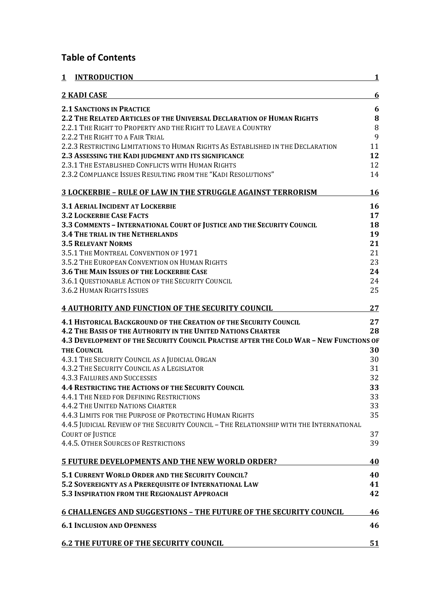## **Table of Contents**

| 1 | <b>INTRODUCTION</b>                                                                     | 1      |
|---|-----------------------------------------------------------------------------------------|--------|
|   | <b>2 KADI CASE</b>                                                                      | 6      |
|   | <b>2.1 SANCTIONS IN PRACTICE</b>                                                        | 6      |
|   | 2.2 THE RELATED ARTICLES OF THE UNIVERSAL DECLARATION OF HUMAN RIGHTS                   | 8      |
|   | 2.2.1 THE RIGHT TO PROPERTY AND THE RIGHT TO LEAVE A COUNTRY                            | $\, 8$ |
|   | 2.2.2 THE RIGHT TO A FAIR TRIAL                                                         | 9      |
|   | 2.2.3 RESTRICTING LIMITATIONS TO HUMAN RIGHTS AS ESTABLISHED IN THE DECLARATION         | 11     |
|   | 2.3 ASSESSING THE KADI JUDGMENT AND ITS SIGNIFICANCE                                    | 12     |
|   | 2.3.1 THE ESTABLISHED CONFLICTS WITH HUMAN RIGHTS                                       | 12     |
|   | 2.3.2 COMPLIANCE ISSUES RESULTING FROM THE "KADI RESOLUTIONS"                           | 14     |
|   | <b>3 LOCKERBIE - RULE OF LAW IN THE STRUGGLE AGAINST TERRORISM</b>                      | 16     |
|   | <b>3.1 AERIAL INCIDENT AT LOCKERBIE</b>                                                 | 16     |
|   | <b>3.2 LOCKERBIE CASE FACTS</b>                                                         | 17     |
|   | 3.3 COMMENTS - INTERNATIONAL COURT OF JUSTICE AND THE SECURITY COUNCIL                  | 18     |
|   | <b>3.4 THE TRIAL IN THE NETHERLANDS</b>                                                 | 19     |
|   | <b>3.5 RELEVANT NORMS</b>                                                               | 21     |
|   | 3.5.1 THE MONTREAL CONVENTION OF 1971                                                   | 21     |
|   | 3.5.2 THE EUROPEAN CONVENTION ON HUMAN RIGHTS                                           | 23     |
|   | 3.6 THE MAIN ISSUES OF THE LOCKERBIE CASE                                               | 24     |
|   | 3.6.1 QUESTIONABLE ACTION OF THE SECURITY COUNCIL                                       | 24     |
|   | <b>3.6.2 HUMAN RIGHTS ISSUES</b>                                                        | 25     |
|   | <b>4 AUTHORITY AND FUNCTION OF THE SECURITY COUNCIL</b>                                 | 27     |
|   | <b>4.1 HISTORICAL BACKGROUND OF THE CREATION OF THE SECURITY COUNCIL</b>                | 27     |
|   | <b>4.2 THE BASIS OF THE AUTHORITY IN THE UNITED NATIONS CHARTER</b>                     | 28     |
|   | 4.3 DEVELOPMENT OF THE SECURITY COUNCIL PRACTISE AFTER THE COLD WAR - NEW FUNCTIONS OF  |        |
|   | <b>THE COUNCIL</b>                                                                      | 30     |
|   | 4.3.1 THE SECURITY COUNCIL AS A JUDICIAL ORGAN                                          | 30     |
|   | 4.3.2 THE SECURITY COUNCIL AS A LEGISLATOR                                              | 31     |
|   | <b>4.3.3 FAILURES AND SUCCESSES</b>                                                     | 32     |
|   | <b>4.4 RESTRICTING THE ACTIONS OF THE SECURITY COUNCIL</b>                              | 33     |
|   | 4.4.1 THE NEED FOR DEFINING RESTRICTIONS                                                | 33     |
|   | <b>4.4.2 THE UNITED NATIONS CHARTER</b>                                                 | 33     |
|   | 4.4.3 LIMITS FOR THE PURPOSE OF PROTECTING HUMAN RIGHTS                                 | 35     |
|   | 4.4.5 JUDICIAL REVIEW OF THE SECURITY COUNCIL - THE RELATIONSHIP WITH THE INTERNATIONAL |        |
|   | <b>COURT OF JUSTICE</b>                                                                 | 37     |
|   | 4.4.5. OTHER SOURCES OF RESTRICTIONS                                                    | 39     |
|   | <b>5 FUTURE DEVELOPMENTS AND THE NEW WORLD ORDER?</b>                                   | 40     |
|   | <b>5.1 CURRENT WORLD ORDER AND THE SECURITY COUNCIL?</b>                                | 40     |
|   | 5.2 SOVEREIGNTY AS A PREREQUISITE OF INTERNATIONAL LAW                                  | 41     |
|   | <b>5.3 INSPIRATION FROM THE REGIONALIST APPROACH</b>                                    | 42     |
|   | <b>6 CHALLENGES AND SUGGESTIONS - THE FUTURE OF THE SECURITY COUNCIL</b>                | 46     |
|   | <b>6.1 INCLUSION AND OPENNESS</b>                                                       | 46     |
|   | <b>6.2 THE FUTURE OF THE SECURITY COUNCIL</b>                                           | 51     |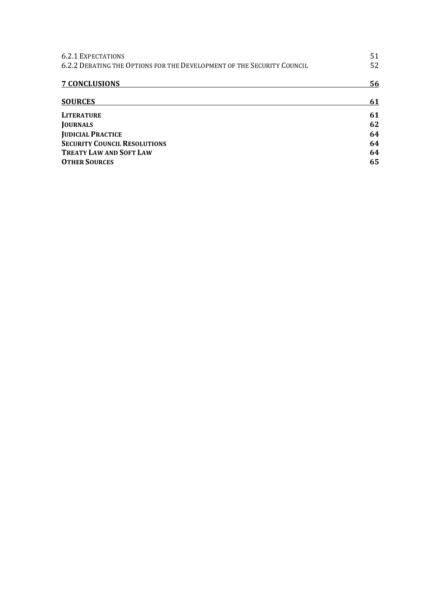| <b>6.2.1 EXPECTATIONS</b>                                              | 51 |
|------------------------------------------------------------------------|----|
| 6.2.2 DEBATING THE OPTIONS FOR THE DEVELOPMENT OF THE SECURITY COUNCIL |    |
| <b>7 CONCLUSIONS</b>                                                   | 56 |
| <b>SOURCES</b>                                                         | 61 |
| <b>LITERATURE</b>                                                      | 61 |
| <b>JOURNALS</b>                                                        | 62 |
| <b>JUDICIAL PRACTICE</b>                                               | 64 |
| <b>SECURITY COUNCIL RESOLUTIONS</b>                                    | 64 |
| <b>TREATY LAW AND SOFT LAW</b>                                         | 64 |
| <b>OTHER SOURCES</b>                                                   | 65 |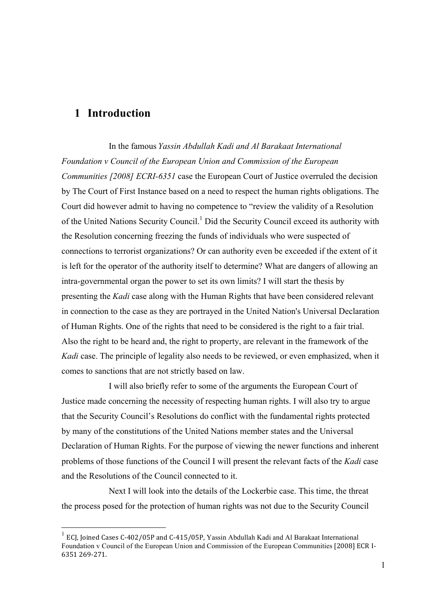## **1 Introduction**

In the famous *Yassin Abdullah Kadi and Al Barakaat International Foundation v Council of the European Union and Commission of the European Communities [2008] ECRI-6351* case the European Court of Justice overruled the decision by The Court of First Instance based on a need to respect the human rights obligations. The Court did however admit to having no competence to "review the validity of a Resolution of the United Nations Security Council.<sup>1</sup> Did the Security Council exceed its authority with the Resolution concerning freezing the funds of individuals who were suspected of connections to terrorist organizations? Or can authority even be exceeded if the extent of it is left for the operator of the authority itself to determine? What are dangers of allowing an intra-governmental organ the power to set its own limits? I will start the thesis by presenting the *Kadi* case along with the Human Rights that have been considered relevant in connection to the case as they are portrayed in the United Nation's Universal Declaration of Human Rights. One of the rights that need to be considered is the right to a fair trial. Also the right to be heard and, the right to property, are relevant in the framework of the *Kadi* case. The principle of legality also needs to be reviewed, or even emphasized, when it comes to sanctions that are not strictly based on law.

I will also briefly refer to some of the arguments the European Court of Justice made concerning the necessity of respecting human rights. I will also try to argue that the Security Council's Resolutions do conflict with the fundamental rights protected by many of the constitutions of the United Nations member states and the Universal Declaration of Human Rights. For the purpose of viewing the newer functions and inherent problems of those functions of the Council I will present the relevant facts of the *Kadi* case and the Resolutions of the Council connected to it.

Next I will look into the details of the Lockerbie case. This time, the threat the process posed for the protection of human rights was not due to the Security Council

ECJ, Joined Cases C-402/05P and C-415/05P, Yassin Abdullah Kadi and Al Barakaat International Foundation v Council of the European Union and Commission of the European Communities [2008] ECR I-6351 269-271.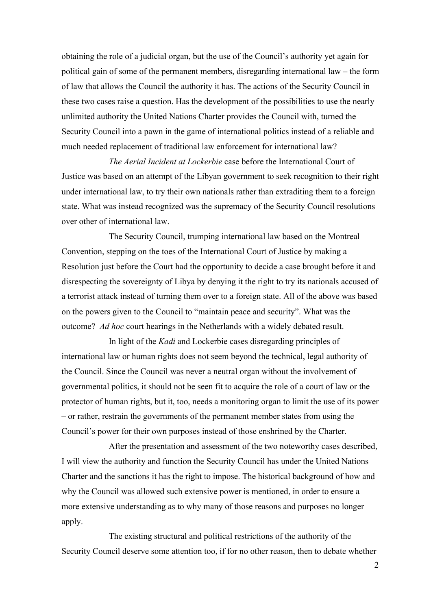obtaining the role of a judicial organ, but the use of the Council's authority yet again for political gain of some of the permanent members, disregarding international law – the form of law that allows the Council the authority it has. The actions of the Security Council in these two cases raise a question. Has the development of the possibilities to use the nearly unlimited authority the United Nations Charter provides the Council with, turned the Security Council into a pawn in the game of international politics instead of a reliable and much needed replacement of traditional law enforcement for international law?

*The Aerial Incident at Lockerbie* case before the International Court of Justice was based on an attempt of the Libyan government to seek recognition to their right under international law, to try their own nationals rather than extraditing them to a foreign state. What was instead recognized was the supremacy of the Security Council resolutions over other of international law.

The Security Council, trumping international law based on the Montreal Convention, stepping on the toes of the International Court of Justice by making a Resolution just before the Court had the opportunity to decide a case brought before it and disrespecting the sovereignty of Libya by denying it the right to try its nationals accused of a terrorist attack instead of turning them over to a foreign state. All of the above was based on the powers given to the Council to "maintain peace and security". What was the outcome? *Ad hoc* court hearings in the Netherlands with a widely debated result.

In light of the *Kadi* and Lockerbie cases disregarding principles of international law or human rights does not seem beyond the technical, legal authority of the Council. Since the Council was never a neutral organ without the involvement of governmental politics, it should not be seen fit to acquire the role of a court of law or the protector of human rights, but it, too, needs a monitoring organ to limit the use of its power – or rather, restrain the governments of the permanent member states from using the Council's power for their own purposes instead of those enshrined by the Charter.

After the presentation and assessment of the two noteworthy cases described, I will view the authority and function the Security Council has under the United Nations Charter and the sanctions it has the right to impose. The historical background of how and why the Council was allowed such extensive power is mentioned, in order to ensure a more extensive understanding as to why many of those reasons and purposes no longer apply.

The existing structural and political restrictions of the authority of the Security Council deserve some attention too, if for no other reason, then to debate whether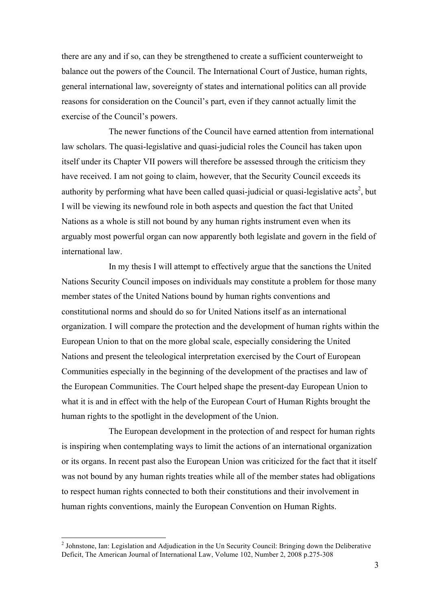there are any and if so, can they be strengthened to create a sufficient counterweight to balance out the powers of the Council. The International Court of Justice, human rights, general international law, sovereignty of states and international politics can all provide reasons for consideration on the Council's part, even if they cannot actually limit the exercise of the Council's powers.

The newer functions of the Council have earned attention from international law scholars. The quasi-legislative and quasi-judicial roles the Council has taken upon itself under its Chapter VII powers will therefore be assessed through the criticism they have received. I am not going to claim, however, that the Security Council exceeds its authority by performing what have been called quasi-judicial or quasi-legislative acts<sup>2</sup>, but I will be viewing its newfound role in both aspects and question the fact that United Nations as a whole is still not bound by any human rights instrument even when its arguably most powerful organ can now apparently both legislate and govern in the field of international law.

In my thesis I will attempt to effectively argue that the sanctions the United Nations Security Council imposes on individuals may constitute a problem for those many member states of the United Nations bound by human rights conventions and constitutional norms and should do so for United Nations itself as an international organization. I will compare the protection and the development of human rights within the European Union to that on the more global scale, especially considering the United Nations and present the teleological interpretation exercised by the Court of European Communities especially in the beginning of the development of the practises and law of the European Communities. The Court helped shape the present-day European Union to what it is and in effect with the help of the European Court of Human Rights brought the human rights to the spotlight in the development of the Union.

The European development in the protection of and respect for human rights is inspiring when contemplating ways to limit the actions of an international organization or its organs. In recent past also the European Union was criticized for the fact that it itself was not bound by any human rights treaties while all of the member states had obligations to respect human rights connected to both their constitutions and their involvement in human rights conventions, mainly the European Convention on Human Rights.

<sup>&</sup>lt;sup>2</sup> Johnstone, Ian: Legislation and Adjudication in the Un Security Council: Bringing down the Deliberative Deficit, The American Journal of International Law, Volume 102, Number 2, 2008 p.275-308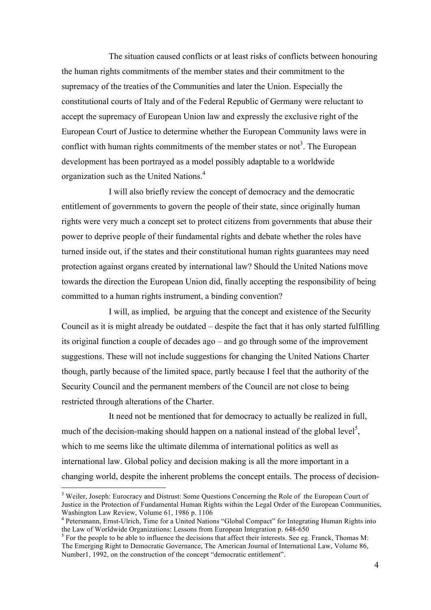The situation caused conflicts or at least risks of conflicts between honouring the human rights commitments of the member states and their commitment to the supremacy of the treaties of the Communities and later the Union. Especially the constitutional courts of Italy and of the Federal Republic of Germany were reluctant to accept the supremacy of European Union law and expressly the exclusive right of the European Court of Justice to determine whether the European Community laws were in conflict with human rights commitments of the member states or not<sup>3</sup>. The European development has been portrayed as a model possibly adaptable to a worldwide organization such as the United Nations.<sup>4</sup>

I will also briefly review the concept of democracy and the democratic entitlement of governments to govern the people of their state, since originally human rights were very much a concept set to protect citizens from governments that abuse their power to deprive people of their fundamental rights and debate whether the roles have turned inside out, if the states and their constitutional human rights guarantees may need protection against organs created by international law? Should the United Nations move towards the direction the European Union did, finally accepting the responsibility of being committed to a human rights instrument, a binding convention?

I will, as implied, be arguing that the concept and existence of the Security Council as it is might already be outdated – despite the fact that it has only started fulfilling its original function a couple of decades ago – and go through some of the improvement suggestions. These will not include suggestions for changing the United Nations Charter though, partly because of the limited space, partly because I feel that the authority of the Security Council and the permanent members of the Council are not close to being restricted through alterations of the Charter.

It need not be mentioned that for democracy to actually be realized in full, much of the decision-making should happen on a national instead of the global level<sup>5</sup>, which to me seems like the ultimate dilemma of international politics as well as international law. Global policy and decision making is all the more important in a changing world, despite the inherent problems the concept entails. The process of decision-

<sup>&</sup>lt;sup>3</sup> Weiler, Joseph: Eurocracy and Distrust: Some Questions Concerning the Role of the European Court of Justice in the Protection of Fundamental Human Rights within the Legal Order of the European Communities, Washington Law Review, Volume 61, 1986 p. 1106

<sup>&</sup>lt;sup>4</sup> Petersmann, Ernst-Ulrich, Time for a United Nations "Global Compact" for Integrating Human Rights into the Law of Worldwide Organizations: Lessons from European Integration p. 648-650

<sup>&</sup>lt;sup>5</sup> For the people to be able to influence the decisions that affect their interests. See eg. Franck, Thomas M: The Emerging Right to Democratic Governance, The American Journal of International Law, Volume 86, Number1, 1992, on the construction of the concept "democratic entitlement".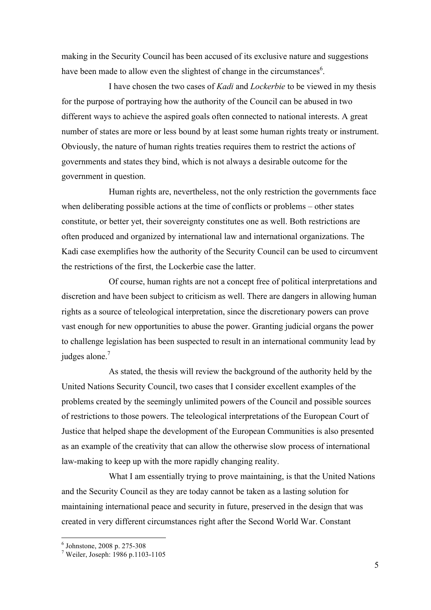making in the Security Council has been accused of its exclusive nature and suggestions have been made to allow even the slightest of change in the circumstances<sup>6</sup>.

I have chosen the two cases of *Kadi* and *Lockerbie* to be viewed in my thesis for the purpose of portraying how the authority of the Council can be abused in two different ways to achieve the aspired goals often connected to national interests. A great number of states are more or less bound by at least some human rights treaty or instrument. Obviously, the nature of human rights treaties requires them to restrict the actions of governments and states they bind, which is not always a desirable outcome for the government in question.

Human rights are, nevertheless, not the only restriction the governments face when deliberating possible actions at the time of conflicts or problems – other states constitute, or better yet, their sovereignty constitutes one as well. Both restrictions are often produced and organized by international law and international organizations. The Kadi case exemplifies how the authority of the Security Council can be used to circumvent the restrictions of the first, the Lockerbie case the latter.

Of course, human rights are not a concept free of political interpretations and discretion and have been subject to criticism as well. There are dangers in allowing human rights as a source of teleological interpretation, since the discretionary powers can prove vast enough for new opportunities to abuse the power. Granting judicial organs the power to challenge legislation has been suspected to result in an international community lead by judges alone. $<sup>7</sup>$ </sup>

As stated, the thesis will review the background of the authority held by the United Nations Security Council, two cases that I consider excellent examples of the problems created by the seemingly unlimited powers of the Council and possible sources of restrictions to those powers. The teleological interpretations of the European Court of Justice that helped shape the development of the European Communities is also presented as an example of the creativity that can allow the otherwise slow process of international law-making to keep up with the more rapidly changing reality.

What I am essentially trying to prove maintaining, is that the United Nations and the Security Council as they are today cannot be taken as a lasting solution for maintaining international peace and security in future, preserved in the design that was created in very different circumstances right after the Second World War. Constant

 $^6$  Johnstone, 2008 p. 275-308<br>
<sup>7</sup> Weiler. Joseph: 1986 p.1103-1105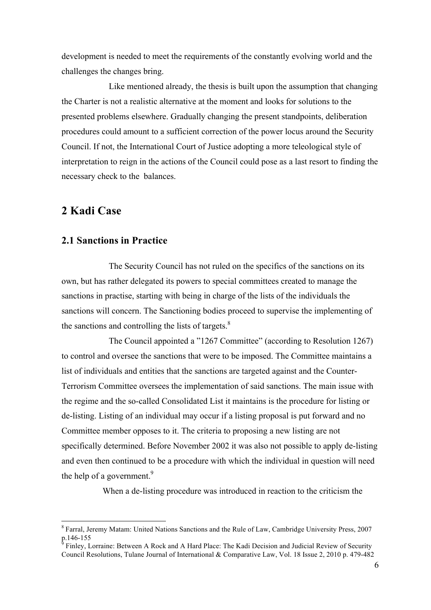development is needed to meet the requirements of the constantly evolving world and the challenges the changes bring.

Like mentioned already, the thesis is built upon the assumption that changing the Charter is not a realistic alternative at the moment and looks for solutions to the presented problems elsewhere. Gradually changing the present standpoints, deliberation procedures could amount to a sufficient correction of the power locus around the Security Council. If not, the International Court of Justice adopting a more teleological style of interpretation to reign in the actions of the Council could pose as a last resort to finding the necessary check to the balances.

## **2 Kadi Case**

## **2.1 Sanctions in Practice**

The Security Council has not ruled on the specifics of the sanctions on its own, but has rather delegated its powers to special committees created to manage the sanctions in practise, starting with being in charge of the lists of the individuals the sanctions will concern. The Sanctioning bodies proceed to supervise the implementing of the sanctions and controlling the lists of targets. $8$ 

The Council appointed a "1267 Committee" (according to Resolution 1267) to control and oversee the sanctions that were to be imposed. The Committee maintains a list of individuals and entities that the sanctions are targeted against and the Counter-Terrorism Committee oversees the implementation of said sanctions. The main issue with the regime and the so-called Consolidated List it maintains is the procedure for listing or de-listing. Listing of an individual may occur if a listing proposal is put forward and no Committee member opposes to it. The criteria to proposing a new listing are not specifically determined. Before November 2002 it was also not possible to apply de-listing and even then continued to be a procedure with which the individual in question will need the help of a government.<sup>9</sup>

When a de-listing procedure was introduced in reaction to the criticism the

 <sup>8</sup> Farral, Jeremy Matam: United Nations Sanctions and the Rule of Law, Cambridge University Press, 2007 p.146-155<br><sup>9</sup> Finley, Lorraine: Between A Rock and A Hard Place: The Kadi Decision and Judicial Review of Security

Council Resolutions, Tulane Journal of International & Comparative Law, Vol. 18 Issue 2, 2010 p. 479-482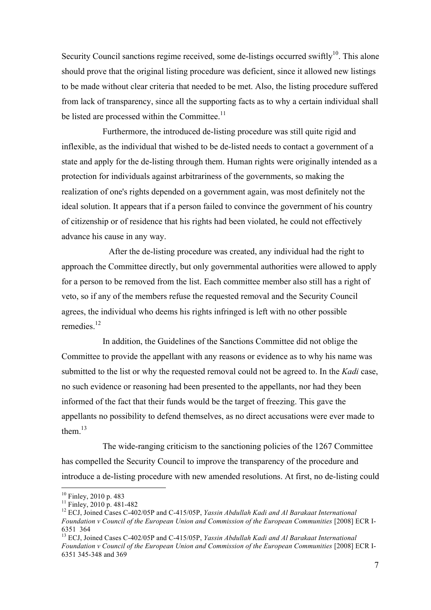Security Council sanctions regime received, some de-listings occurred swiftly<sup>10</sup>. This alone should prove that the original listing procedure was deficient, since it allowed new listings to be made without clear criteria that needed to be met. Also, the listing procedure suffered from lack of transparency, since all the supporting facts as to why a certain individual shall be listed are processed within the Committee.<sup>11</sup>

Furthermore, the introduced de-listing procedure was still quite rigid and inflexible, as the individual that wished to be de-listed needs to contact a government of a state and apply for the de-listing through them. Human rights were originally intended as a protection for individuals against arbitrariness of the governments, so making the realization of one's rights depended on a government again, was most definitely not the ideal solution. It appears that if a person failed to convince the government of his country of citizenship or of residence that his rights had been violated, he could not effectively advance his cause in any way.

After the de-listing procedure was created, any individual had the right to approach the Committee directly, but only governmental authorities were allowed to apply for a person to be removed from the list. Each committee member also still has a right of veto, so if any of the members refuse the requested removal and the Security Council agrees, the individual who deems his rights infringed is left with no other possible remedies $12$ 

In addition, the Guidelines of the Sanctions Committee did not oblige the Committee to provide the appellant with any reasons or evidence as to why his name was submitted to the list or why the requested removal could not be agreed to. In the *Kadi* case, no such evidence or reasoning had been presented to the appellants, nor had they been informed of the fact that their funds would be the target of freezing. This gave the appellants no possibility to defend themselves, as no direct accusations were ever made to them $13$ 

The wide-ranging criticism to the sanctioning policies of the 1267 Committee has compelled the Security Council to improve the transparency of the procedure and introduce a de-listing procedure with new amended resolutions. At first, no de-listing could

<sup>&</sup>lt;sup>10</sup> Finley, 2010 p. 483<br><sup>11</sup> Finley, 2010 p. 481-482<br><sup>12</sup> ECJ, Joined Cases C-402/05P and C-415/05P, *Yassin Abdullah Kadi and Al Barakaat International Foundation v Council of the European Union and Commission of the European Communities* [2008] ECR I-6351 364

<sup>13</sup> ECJ, Joined Cases C-402/05P and C-415/05P, *Yassin Abdullah Kadi and Al Barakaat International*  Foundation y Council of the European Union and Commission of the European Communities [2008] ECR I-6351 345-348 and 369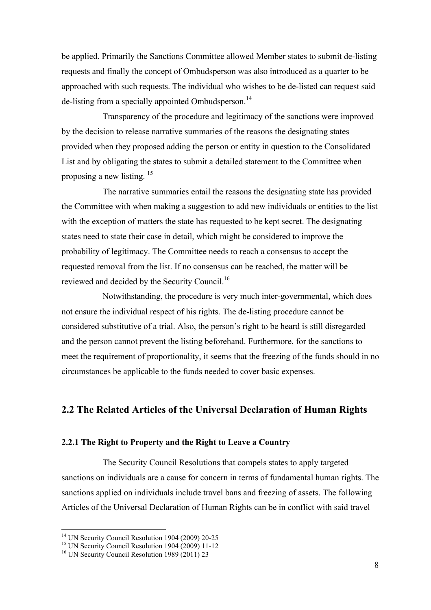be applied. Primarily the Sanctions Committee allowed Member states to submit de-listing requests and finally the concept of Ombudsperson was also introduced as a quarter to be approached with such requests. The individual who wishes to be de-listed can request said de-listing from a specially appointed Ombudsperson.<sup>14</sup>

Transparency of the procedure and legitimacy of the sanctions were improved by the decision to release narrative summaries of the reasons the designating states provided when they proposed adding the person or entity in question to the Consolidated List and by obligating the states to submit a detailed statement to the Committee when proposing a new listing. 15

The narrative summaries entail the reasons the designating state has provided the Committee with when making a suggestion to add new individuals or entities to the list with the exception of matters the state has requested to be kept secret. The designating states need to state their case in detail, which might be considered to improve the probability of legitimacy. The Committee needs to reach a consensus to accept the requested removal from the list. If no consensus can be reached, the matter will be reviewed and decided by the Security Council.<sup>16</sup>

Notwithstanding, the procedure is very much inter-governmental, which does not ensure the individual respect of his rights. The de-listing procedure cannot be considered substitutive of a trial. Also, the person's right to be heard is still disregarded and the person cannot prevent the listing beforehand. Furthermore, for the sanctions to meet the requirement of proportionality, it seems that the freezing of the funds should in no circumstances be applicable to the funds needed to cover basic expenses.

## **2.2 The Related Articles of the Universal Declaration of Human Rights**

#### **2.2.1 The Right to Property and the Right to Leave a Country**

The Security Council Resolutions that compels states to apply targeted sanctions on individuals are a cause for concern in terms of fundamental human rights. The sanctions applied on individuals include travel bans and freezing of assets. The following Articles of the Universal Declaration of Human Rights can be in conflict with said travel

<sup>&</sup>lt;sup>14</sup> UN Security Council Resolution 1904 (2009) 20-25<br><sup>15</sup> UN Security Council Resolution 1904 (2009) 11-12<br><sup>16</sup> UN Security Council Resolution 1989 (2011) 23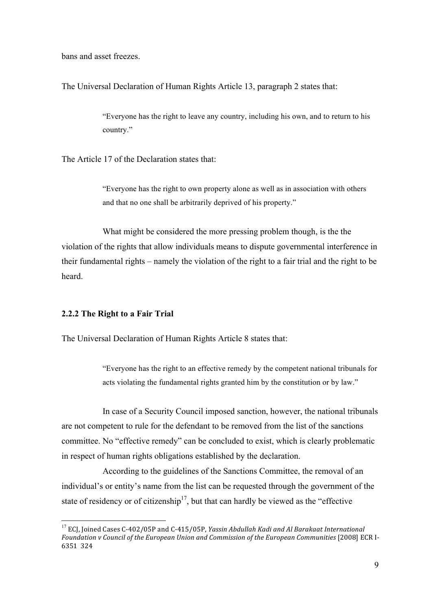bans and asset freezes.

The Universal Declaration of Human Rights Article 13, paragraph 2 states that:

"Everyone has the right to leave any country, including his own, and to return to his country."

The Article 17 of the Declaration states that:

"Everyone has the right to own property alone as well as in association with others and that no one shall be arbitrarily deprived of his property."

What might be considered the more pressing problem though, is the the violation of the rights that allow individuals means to dispute governmental interference in their fundamental rights – namely the violation of the right to a fair trial and the right to be heard.

### **2.2.2 The Right to a Fair Trial**

The Universal Declaration of Human Rights Article 8 states that:

"Everyone has the right to an effective remedy by the competent national tribunals for acts violating the fundamental rights granted him by the constitution or by law."

In case of a Security Council imposed sanction, however, the national tribunals are not competent to rule for the defendant to be removed from the list of the sanctions committee. No "effective remedy" can be concluded to exist, which is clearly problematic in respect of human rights obligations established by the declaration.

According to the guidelines of the Sanctions Committee, the removal of an individual's or entity's name from the list can be requested through the government of the state of residency or of citizenship<sup>17</sup>, but that can hardly be viewed as the "effective"

<sup>&</sup>lt;sup>17</sup> ECI, Ioined Cases C-402/05P and C-415/05P, *Yassin Abdullah Kadi and Al Barakaat International* Foundation y Council of the European Union and Commission of the European Communities [2008] ECR I-6351 324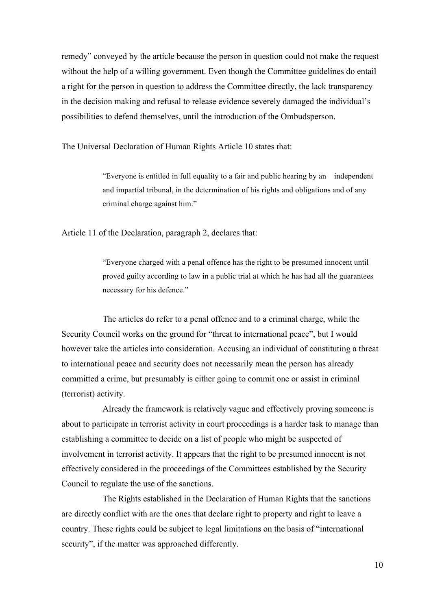remedy" conveyed by the article because the person in question could not make the request without the help of a willing government. Even though the Committee guidelines do entail a right for the person in question to address the Committee directly, the lack transparency in the decision making and refusal to release evidence severely damaged the individual's possibilities to defend themselves, until the introduction of the Ombudsperson.

The Universal Declaration of Human Rights Article 10 states that:

"Everyone is entitled in full equality to a fair and public hearing by an independent and impartial tribunal, in the determination of his rights and obligations and of any criminal charge against him."

Article 11 of the Declaration, paragraph 2, declares that:

"Everyone charged with a penal offence has the right to be presumed innocent until proved guilty according to law in a public trial at which he has had all the guarantees necessary for his defence."

The articles do refer to a penal offence and to a criminal charge, while the Security Council works on the ground for "threat to international peace", but I would however take the articles into consideration. Accusing an individual of constituting a threat to international peace and security does not necessarily mean the person has already committed a crime, but presumably is either going to commit one or assist in criminal (terrorist) activity.

Already the framework is relatively vague and effectively proving someone is about to participate in terrorist activity in court proceedings is a harder task to manage than establishing a committee to decide on a list of people who might be suspected of involvement in terrorist activity. It appears that the right to be presumed innocent is not effectively considered in the proceedings of the Committees established by the Security Council to regulate the use of the sanctions.

The Rights established in the Declaration of Human Rights that the sanctions are directly conflict with are the ones that declare right to property and right to leave a country. These rights could be subject to legal limitations on the basis of "international security", if the matter was approached differently.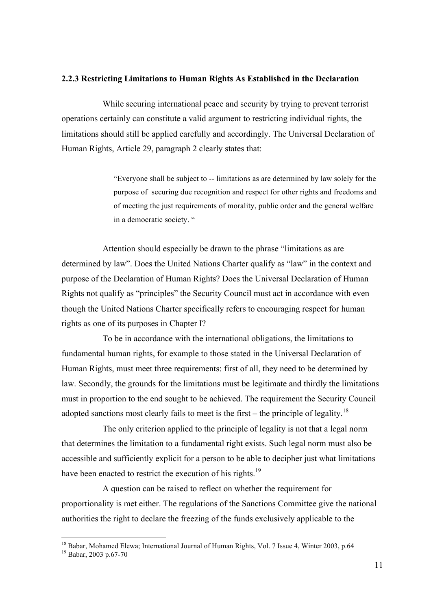#### **2.2.3 Restricting Limitations to Human Rights As Established in the Declaration**

While securing international peace and security by trying to prevent terrorist operations certainly can constitute a valid argument to restricting individual rights, the limitations should still be applied carefully and accordingly. The Universal Declaration of Human Rights, Article 29, paragraph 2 clearly states that:

> "Everyone shall be subject to -- limitations as are determined by law solely for the purpose of securing due recognition and respect for other rights and freedoms and of meeting the just requirements of morality, public order and the general welfare in a democratic society. "

Attention should especially be drawn to the phrase "limitations as are determined by law". Does the United Nations Charter qualify as "law" in the context and purpose of the Declaration of Human Rights? Does the Universal Declaration of Human Rights not qualify as "principles" the Security Council must act in accordance with even though the United Nations Charter specifically refers to encouraging respect for human rights as one of its purposes in Chapter I?

To be in accordance with the international obligations, the limitations to fundamental human rights, for example to those stated in the Universal Declaration of Human Rights, must meet three requirements: first of all, they need to be determined by law. Secondly, the grounds for the limitations must be legitimate and thirdly the limitations must in proportion to the end sought to be achieved. The requirement the Security Council adopted sanctions most clearly fails to meet is the first – the principle of legality.<sup>18</sup>

The only criterion applied to the principle of legality is not that a legal norm that determines the limitation to a fundamental right exists. Such legal norm must also be accessible and sufficiently explicit for a person to be able to decipher just what limitations have been enacted to restrict the execution of his rights.<sup>19</sup>

A question can be raised to reflect on whether the requirement for proportionality is met either. The regulations of the Sanctions Committee give the national authorities the right to declare the freezing of the funds exclusively applicable to the

<sup>&</sup>lt;sup>18</sup> Babar, Mohamed Elewa; International Journal of Human Rights, Vol. 7 Issue 4, Winter 2003, p.64 <sup>19</sup> Babar, 2003 p.67-70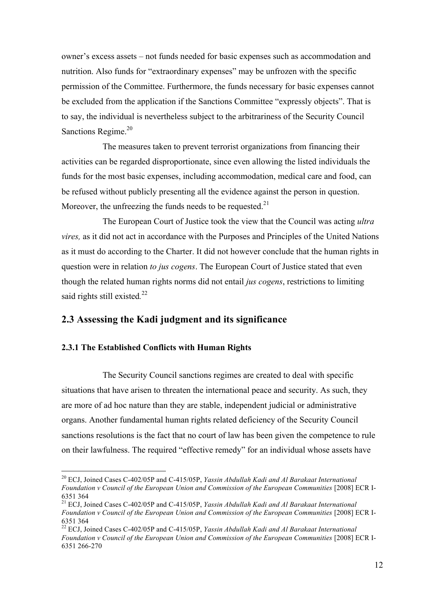owner's excess assets – not funds needed for basic expenses such as accommodation and nutrition. Also funds for "extraordinary expenses" may be unfrozen with the specific permission of the Committee. Furthermore, the funds necessary for basic expenses cannot be excluded from the application if the Sanctions Committee "expressly objects". That is to say, the individual is nevertheless subject to the arbitrariness of the Security Council Sanctions Regime.<sup>20</sup>

The measures taken to prevent terrorist organizations from financing their activities can be regarded disproportionate, since even allowing the listed individuals the funds for the most basic expenses, including accommodation, medical care and food, can be refused without publicly presenting all the evidence against the person in question. Moreover, the unfreezing the funds needs to be requested. $21$ 

The European Court of Justice took the view that the Council was acting *ultra vires,* as it did not act in accordance with the Purposes and Principles of the United Nations as it must do according to the Charter. It did not however conclude that the human rights in question were in relation *to jus cogens*. The European Court of Justice stated that even though the related human rights norms did not entail *jus cogens*, restrictions to limiting said rights still existed*.* 22

## **2.3 Assessing the Kadi judgment and its significance**

## **2.3.1 The Established Conflicts with Human Rights**

The Security Council sanctions regimes are created to deal with specific situations that have arisen to threaten the international peace and security. As such, they are more of ad hoc nature than they are stable, independent judicial or administrative organs. Another fundamental human rights related deficiency of the Security Council sanctions resolutions is the fact that no court of law has been given the competence to rule on their lawfulness. The required "effective remedy" for an individual whose assets have

 <sup>20</sup> ECJ, Joined Cases C-402/05P and C-415/05P, *Yassin Abdullah Kadi and Al Barakaat International Foundation v Council of the European Union and Commission of the European Communities* [2008] ECR I-6351 364

<sup>21</sup> ECJ, Joined Cases C-402/05P and C-415/05P, *Yassin Abdullah Kadi and Al Barakaat International*  Foundation y Council of the European Union and Commission of the European Communities [2008] ECR I-6351 364

<sup>22</sup> ECJ, Joined Cases C-402/05P and C-415/05P, *Yassin Abdullah Kadi and Al Barakaat International Foundation v Council of the European Union and Commission of the European Communities* [2008] ECR I-6351 266-270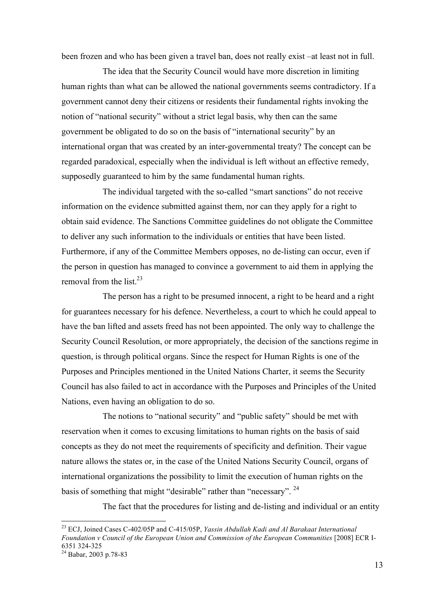been frozen and who has been given a travel ban, does not really exist –at least not in full.

The idea that the Security Council would have more discretion in limiting human rights than what can be allowed the national governments seems contradictory. If a government cannot deny their citizens or residents their fundamental rights invoking the notion of "national security" without a strict legal basis, why then can the same government be obligated to do so on the basis of "international security" by an international organ that was created by an inter-governmental treaty? The concept can be regarded paradoxical, especially when the individual is left without an effective remedy, supposedly guaranteed to him by the same fundamental human rights.

The individual targeted with the so-called "smart sanctions" do not receive information on the evidence submitted against them, nor can they apply for a right to obtain said evidence. The Sanctions Committee guidelines do not obligate the Committee to deliver any such information to the individuals or entities that have been listed. Furthermore, if any of the Committee Members opposes, no de-listing can occur, even if the person in question has managed to convince a government to aid them in applying the removal from the list  $^{23}$ 

The person has a right to be presumed innocent, a right to be heard and a right for guarantees necessary for his defence. Nevertheless, a court to which he could appeal to have the ban lifted and assets freed has not been appointed. The only way to challenge the Security Council Resolution, or more appropriately, the decision of the sanctions regime in question, is through political organs. Since the respect for Human Rights is one of the Purposes and Principles mentioned in the United Nations Charter, it seems the Security Council has also failed to act in accordance with the Purposes and Principles of the United Nations, even having an obligation to do so.

The notions to "national security" and "public safety" should be met with reservation when it comes to excusing limitations to human rights on the basis of said concepts as they do not meet the requirements of specificity and definition. Their vague nature allows the states or, in the case of the United Nations Security Council, organs of international organizations the possibility to limit the execution of human rights on the basis of something that might "desirable" rather than "necessary". <sup>24</sup>

The fact that the procedures for listing and de-listing and individual or an entity

 <sup>23</sup> ECJ, Joined Cases C-402/05P and C-415/05P, *Yassin Abdullah Kadi and Al Barakaat International Foundation v Council of the European Union and Commission of the European Communities* [2008] ECR I-<br>6351 324-325

 $^{24}$  Babar, 2003 p.78-83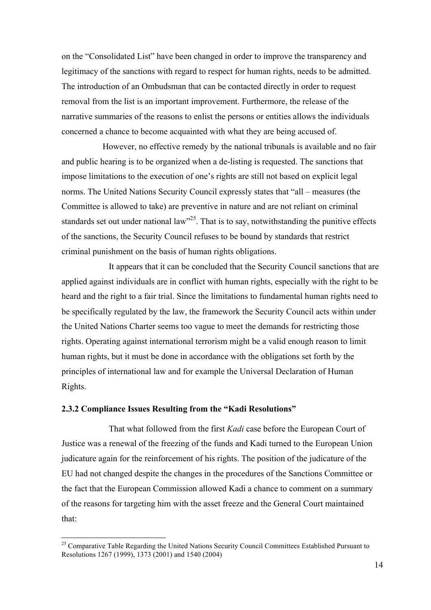on the "Consolidated List" have been changed in order to improve the transparency and legitimacy of the sanctions with regard to respect for human rights, needs to be admitted. The introduction of an Ombudsman that can be contacted directly in order to request removal from the list is an important improvement. Furthermore, the release of the narrative summaries of the reasons to enlist the persons or entities allows the individuals concerned a chance to become acquainted with what they are being accused of.

However, no effective remedy by the national tribunals is available and no fair and public hearing is to be organized when a de-listing is requested. The sanctions that impose limitations to the execution of one's rights are still not based on explicit legal norms. The United Nations Security Council expressly states that "all – measures (the Committee is allowed to take) are preventive in nature and are not reliant on criminal standards set out under national law<sup>325</sup>. That is to say, notwithstanding the punitive effects of the sanctions, the Security Council refuses to be bound by standards that restrict criminal punishment on the basis of human rights obligations.

It appears that it can be concluded that the Security Council sanctions that are applied against individuals are in conflict with human rights, especially with the right to be heard and the right to a fair trial. Since the limitations to fundamental human rights need to be specifically regulated by the law, the framework the Security Council acts within under the United Nations Charter seems too vague to meet the demands for restricting those rights. Operating against international terrorism might be a valid enough reason to limit human rights, but it must be done in accordance with the obligations set forth by the principles of international law and for example the Universal Declaration of Human Rights.

### **2.3.2 Compliance Issues Resulting from the "Kadi Resolutions"**

That what followed from the first *Kadi* case before the European Court of Justice was a renewal of the freezing of the funds and Kadi turned to the European Union judicature again for the reinforcement of his rights. The position of the judicature of the EU had not changed despite the changes in the procedures of the Sanctions Committee or the fact that the European Commission allowed Kadi a chance to comment on a summary of the reasons for targeting him with the asset freeze and the General Court maintained that:

<sup>&</sup>lt;sup>25</sup> Comparative Table Regarding the United Nations Security Council Committees Established Pursuant to Resolutions 1267 (1999), 1373 (2001) and 1540 (2004)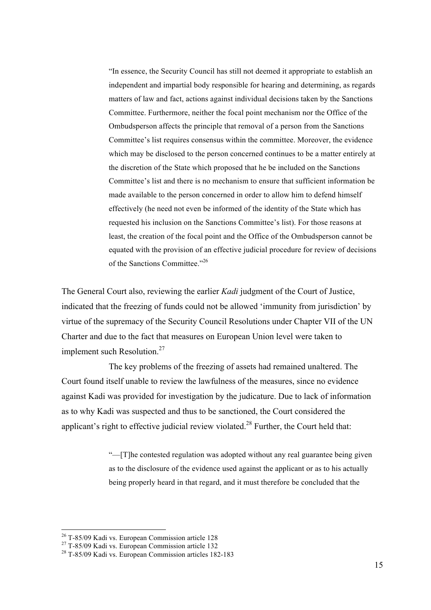"In essence, the Security Council has still not deemed it appropriate to establish an independent and impartial body responsible for hearing and determining, as regards matters of law and fact, actions against individual decisions taken by the Sanctions Committee. Furthermore, neither the focal point mechanism nor the Office of the Ombudsperson affects the principle that removal of a person from the Sanctions Committee's list requires consensus within the committee. Moreover, the evidence which may be disclosed to the person concerned continues to be a matter entirely at the discretion of the State which proposed that he be included on the Sanctions Committee's list and there is no mechanism to ensure that sufficient information be made available to the person concerned in order to allow him to defend himself effectively (he need not even be informed of the identity of the State which has requested his inclusion on the Sanctions Committee's list). For those reasons at least, the creation of the focal point and the Office of the Ombudsperson cannot be equated with the provision of an effective judicial procedure for review of decisions of the Sanctions Committee."<sup>26</sup>

The General Court also, reviewing the earlier *Kadi* judgment of the Court of Justice, indicated that the freezing of funds could not be allowed 'immunity from jurisdiction' by virtue of the supremacy of the Security Council Resolutions under Chapter VII of the UN Charter and due to the fact that measures on European Union level were taken to implement such Resolution.<sup>27</sup>

The key problems of the freezing of assets had remained unaltered. The Court found itself unable to review the lawfulness of the measures, since no evidence against Kadi was provided for investigation by the judicature. Due to lack of information as to why Kadi was suspected and thus to be sanctioned, the Court considered the applicant's right to effective judicial review violated.<sup>28</sup> Further, the Court held that:

> "—[T]he contested regulation was adopted without any real guarantee being given as to the disclosure of the evidence used against the applicant or as to his actually being properly heard in that regard, and it must therefore be concluded that the

<sup>&</sup>lt;sup>26</sup> T-85/09 Kadi vs. European Commission article 128<br><sup>27</sup> T-85/09 Kadi vs. European Commission article 132<br><sup>28</sup> T-85/09 Kadi vs. European Commission articles 182-183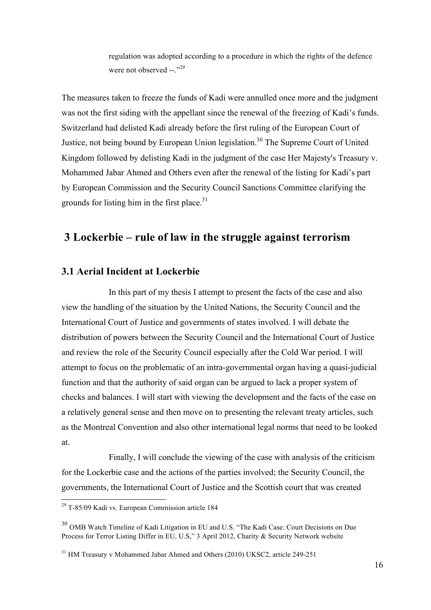regulation was adopted according to a procedure in which the rights of the defence were not observed  $-$ .<sup>329</sup>

The measures taken to freeze the funds of Kadi were annulled once more and the judgment was not the first siding with the appellant since the renewal of the freezing of Kadi's funds. Switzerland had delisted Kadi already before the first ruling of the European Court of Justice, not being bound by European Union legislation.<sup>30</sup> The Supreme Court of United Kingdom followed by delisting Kadi in the judgment of the case Her Majesty's Treasury v. Mohammed Jabar Ahmed and Others even after the renewal of the listing for Kadi's part by European Commission and the Security Council Sanctions Committee clarifying the grounds for listing him in the first place. $31$ 

# **3 Lockerbie – rule of law in the struggle against terrorism**

## **3.1 Aerial Incident at Lockerbie**

In this part of my thesis I attempt to present the facts of the case and also view the handling of the situation by the United Nations, the Security Council and the International Court of Justice and governments of states involved. I will debate the distribution of powers between the Security Council and the International Court of Justice and review the role of the Security Council especially after the Cold War period. I will attempt to focus on the problematic of an intra-governmental organ having a quasi-judicial function and that the authority of said organ can be argued to lack a proper system of checks and balances. I will start with viewing the development and the facts of the case on a relatively general sense and then move on to presenting the relevant treaty articles, such as the Montreal Convention and also other international legal norms that need to be looked at.

Finally, I will conclude the viewing of the case with analysis of the criticism for the Lockerbie case and the actions of the parties involved; the Security Council, the governments, the International Court of Justice and the Scottish court that was created

 <sup>29</sup> T-85/09 Kadi vs. European Commission article 184

<sup>30</sup> OMB Watch Timeline of Kadi Litigation in EU and U.S. "The Kadi Case: Court Decisions on Due Process for Terror Listing Differ in EU, U.S," 3 April 2012, Charity & Security Network website

<sup>&</sup>lt;sup>31</sup> HM Treasury v Mohammed Jabar Ahmed and Others (2010) UKSC2, article 249-251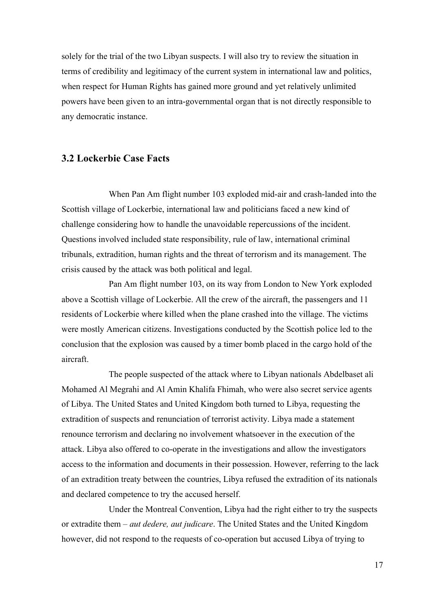solely for the trial of the two Libyan suspects. I will also try to review the situation in terms of credibility and legitimacy of the current system in international law and politics, when respect for Human Rights has gained more ground and yet relatively unlimited powers have been given to an intra-governmental organ that is not directly responsible to any democratic instance.

## **3.2 Lockerbie Case Facts**

When Pan Am flight number 103 exploded mid-air and crash-landed into the Scottish village of Lockerbie, international law and politicians faced a new kind of challenge considering how to handle the unavoidable repercussions of the incident. Questions involved included state responsibility, rule of law, international criminal tribunals, extradition, human rights and the threat of terrorism and its management. The crisis caused by the attack was both political and legal.

Pan Am flight number 103, on its way from London to New York exploded above a Scottish village of Lockerbie. All the crew of the aircraft, the passengers and 11 residents of Lockerbie where killed when the plane crashed into the village. The victims were mostly American citizens. Investigations conducted by the Scottish police led to the conclusion that the explosion was caused by a timer bomb placed in the cargo hold of the aircraft.

The people suspected of the attack where to Libyan nationals Abdelbaset ali Mohamed Al Megrahi and Al Amin Khalifa Fhimah, who were also secret service agents of Libya. The United States and United Kingdom both turned to Libya, requesting the extradition of suspects and renunciation of terrorist activity. Libya made a statement renounce terrorism and declaring no involvement whatsoever in the execution of the attack. Libya also offered to co-operate in the investigations and allow the investigators access to the information and documents in their possession. However, referring to the lack of an extradition treaty between the countries, Libya refused the extradition of its nationals and declared competence to try the accused herself.

Under the Montreal Convention, Libya had the right either to try the suspects or extradite them – *aut dedere, aut judicare*. The United States and the United Kingdom however, did not respond to the requests of co-operation but accused Libya of trying to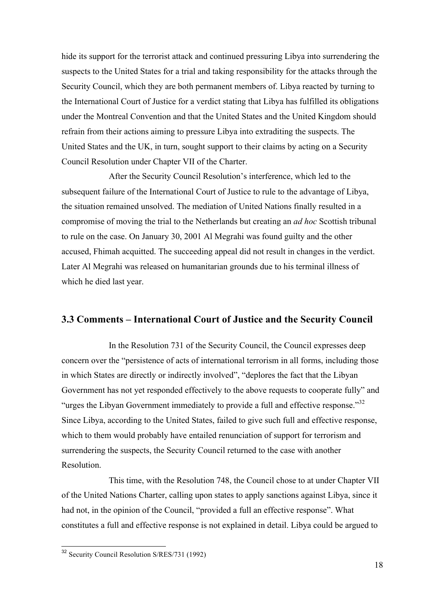hide its support for the terrorist attack and continued pressuring Libya into surrendering the suspects to the United States for a trial and taking responsibility for the attacks through the Security Council, which they are both permanent members of. Libya reacted by turning to the International Court of Justice for a verdict stating that Libya has fulfilled its obligations under the Montreal Convention and that the United States and the United Kingdom should refrain from their actions aiming to pressure Libya into extraditing the suspects. The United States and the UK, in turn, sought support to their claims by acting on a Security Council Resolution under Chapter VII of the Charter.

After the Security Council Resolution's interference, which led to the subsequent failure of the International Court of Justice to rule to the advantage of Libya, the situation remained unsolved. The mediation of United Nations finally resulted in a compromise of moving the trial to the Netherlands but creating an *ad hoc* Scottish tribunal to rule on the case. On January 30, 2001 Al Megrahi was found guilty and the other accused, Fhimah acquitted. The succeeding appeal did not result in changes in the verdict. Later Al Megrahi was released on humanitarian grounds due to his terminal illness of which he died last year.

## **3.3 Comments – International Court of Justice and the Security Council**

In the Resolution 731 of the Security Council, the Council expresses deep concern over the "persistence of acts of international terrorism in all forms, including those in which States are directly or indirectly involved", "deplores the fact that the Libyan Government has not yet responded effectively to the above requests to cooperate fully" and "urges the Libyan Government immediately to provide a full and effective response."<sup>32</sup> Since Libya, according to the United States, failed to give such full and effective response, which to them would probably have entailed renunciation of support for terrorism and surrendering the suspects, the Security Council returned to the case with another Resolution.

This time, with the Resolution 748, the Council chose to at under Chapter VII of the United Nations Charter, calling upon states to apply sanctions against Libya, since it had not, in the opinion of the Council, "provided a full an effective response". What constitutes a full and effective response is not explained in detail. Libya could be argued to

<sup>32</sup> Security Council Resolution S/RES/731 (1992)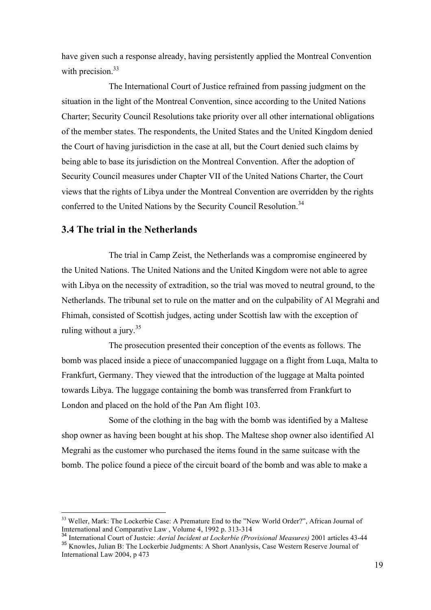have given such a response already, having persistently applied the Montreal Convention with precision. $33$ 

The International Court of Justice refrained from passing judgment on the situation in the light of the Montreal Convention, since according to the United Nations Charter; Security Council Resolutions take priority over all other international obligations of the member states. The respondents, the United States and the United Kingdom denied the Court of having jurisdiction in the case at all, but the Court denied such claims by being able to base its jurisdiction on the Montreal Convention. After the adoption of Security Council measures under Chapter VII of the United Nations Charter, the Court views that the rights of Libya under the Montreal Convention are overridden by the rights conferred to the United Nations by the Security Council Resolution.<sup>34</sup>

## **3.4 The trial in the Netherlands**

The trial in Camp Zeist, the Netherlands was a compromise engineered by the United Nations. The United Nations and the United Kingdom were not able to agree with Libya on the necessity of extradition, so the trial was moved to neutral ground, to the Netherlands. The tribunal set to rule on the matter and on the culpability of Al Megrahi and Fhimah, consisted of Scottish judges, acting under Scottish law with the exception of ruling without a jury.  $35$ 

The prosecution presented their conception of the events as follows. The bomb was placed inside a piece of unaccompanied luggage on a flight from Luqa, Malta to Frankfurt, Germany. They viewed that the introduction of the luggage at Malta pointed towards Libya. The luggage containing the bomb was transferred from Frankfurt to London and placed on the hold of the Pan Am flight 103.

Some of the clothing in the bag with the bomb was identified by a Maltese shop owner as having been bought at his shop. The Maltese shop owner also identified Al Megrahi as the customer who purchased the items found in the same suitcase with the bomb. The police found a piece of the circuit board of the bomb and was able to make a

<sup>&</sup>lt;sup>33</sup> Weller, Mark: The Lockerbie Case: A Premature End to the "New World Order?", African Journal of Imternational and Comparative Law , Volume 4, 1992 p. 313-314

<sup>34</sup> International Court of Justcie: *Aerial Incident at Lockerbie (Provisional Measures)* 2001 articles 43-44

<sup>&</sup>lt;sup>35</sup> Knowles, Julian B: The Lockerbie Judgments: A Short Ananlysis, Case Western Reserve Journal of International Law 2004, p 473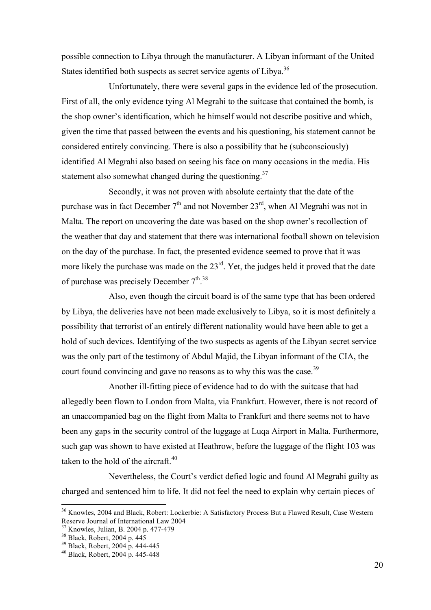possible connection to Libya through the manufacturer. A Libyan informant of the United States identified both suspects as secret service agents of Libya.<sup>36</sup>

Unfortunately, there were several gaps in the evidence led of the prosecution. First of all, the only evidence tying Al Megrahi to the suitcase that contained the bomb, is the shop owner's identification, which he himself would not describe positive and which, given the time that passed between the events and his questioning, his statement cannot be considered entirely convincing. There is also a possibility that he (subconsciously) identified Al Megrahi also based on seeing his face on many occasions in the media. His statement also somewhat changed during the questioning. $37$ 

Secondly, it was not proven with absolute certainty that the date of the purchase was in fact December  $7<sup>th</sup>$  and not November  $23<sup>rd</sup>$ , when Al Megrahi was not in Malta. The report on uncovering the date was based on the shop owner's recollection of the weather that day and statement that there was international football shown on television on the day of the purchase. In fact, the presented evidence seemed to prove that it was more likely the purchase was made on the 23<sup>rd</sup>. Yet, the judges held it proved that the date of purchase was precisely December  $7^{th}$ .<sup>38</sup>

Also, even though the circuit board is of the same type that has been ordered by Libya, the deliveries have not been made exclusively to Libya, so it is most definitely a possibility that terrorist of an entirely different nationality would have been able to get a hold of such devices. Identifying of the two suspects as agents of the Libyan secret service was the only part of the testimony of Abdul Majid, the Libyan informant of the CIA, the court found convincing and gave no reasons as to why this was the case.<sup>39</sup>

Another ill-fitting piece of evidence had to do with the suitcase that had allegedly been flown to London from Malta, via Frankfurt. However, there is not record of an unaccompanied bag on the flight from Malta to Frankfurt and there seems not to have been any gaps in the security control of the luggage at Luqa Airport in Malta. Furthermore, such gap was shown to have existed at Heathrow, before the luggage of the flight 103 was taken to the hold of the aircraft.<sup>40</sup>

Nevertheless, the Court's verdict defied logic and found Al Megrahi guilty as charged and sentenced him to life. It did not feel the need to explain why certain pieces of

<sup>&</sup>lt;sup>36</sup> Knowles, 2004 and Black, Robert: Lockerbie: A Satisfactory Process But a Flawed Result, Case Western Reserve Journal of International Law 2004<br><sup>37</sup> Knowles, Julian, B. 2004 p. 477-479

<sup>&</sup>lt;sup>38</sup> Black, Robert, 2004 p. 445<br><sup>39</sup> Black, Robert, 2004 p. 444-445<br><sup>40</sup> Black, Robert, 2004 p. 445-448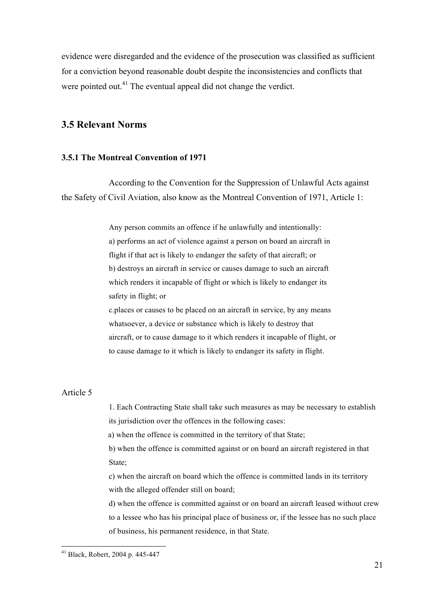evidence were disregarded and the evidence of the prosecution was classified as sufficient for a conviction beyond reasonable doubt despite the inconsistencies and conflicts that were pointed out.<sup>41</sup> The eventual appeal did not change the verdict.

## **3.5 Relevant Norms**

### **3.5.1 The Montreal Convention of 1971**

According to the Convention for the Suppression of Unlawful Acts against the Safety of Civil Aviation, also know as the Montreal Convention of 1971, Article 1:

> Any person commits an offence if he unlawfully and intentionally: a) performs an act of violence against a person on board an aircraft in flight if that act is likely to endanger the safety of that aircraft; or b) destroys an aircraft in service or causes damage to such an aircraft which renders it incapable of flight or which is likely to endanger its safety in flight; or

c.places or causes to be placed on an aircraft in service, by any means whatsoever, a device or substance which is likely to destroy that aircraft, or to cause damage to it which renders it incapable of flight, or to cause damage to it which is likely to endanger its safety in flight.

### Article 5

1. Each Contracting State shall take such measures as may be necessary to establish its jurisdiction over the offences in the following cases:

a) when the offence is committed in the territory of that State;

b) when the offence is committed against or on board an aircraft registered in that State;

c) when the aircraft on board which the offence is committed lands in its territory with the alleged offender still on board;

d) when the offence is committed against or on board an aircraft leased without crew to a lessee who has his principal place of business or, if the lessee has no such place of business, his permanent residence, in that State.

 <sup>41</sup> Black, Robert, 2004 p. 445-447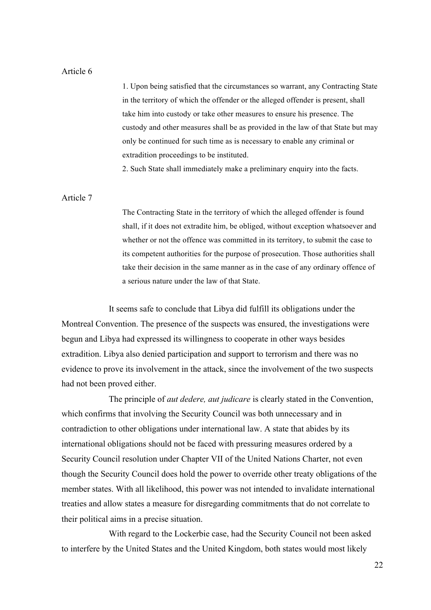#### Article 6

1. Upon being satisfied that the circumstances so warrant, any Contracting State in the territory of which the offender or the alleged offender is present, shall take him into custody or take other measures to ensure his presence. The custody and other measures shall be as provided in the law of that State but may only be continued for such time as is necessary to enable any criminal or extradition proceedings to be instituted.

2. Such State shall immediately make a preliminary enquiry into the facts.

### Article 7

The Contracting State in the territory of which the alleged offender is found shall, if it does not extradite him, be obliged, without exception whatsoever and whether or not the offence was committed in its territory, to submit the case to its competent authorities for the purpose of prosecution. Those authorities shall take their decision in the same manner as in the case of any ordinary offence of a serious nature under the law of that State.

It seems safe to conclude that Libya did fulfill its obligations under the Montreal Convention. The presence of the suspects was ensured, the investigations were begun and Libya had expressed its willingness to cooperate in other ways besides extradition. Libya also denied participation and support to terrorism and there was no evidence to prove its involvement in the attack, since the involvement of the two suspects had not been proved either.

The principle of *aut dedere, aut judicare* is clearly stated in the Convention, which confirms that involving the Security Council was both unnecessary and in contradiction to other obligations under international law. A state that abides by its international obligations should not be faced with pressuring measures ordered by a Security Council resolution under Chapter VII of the United Nations Charter, not even though the Security Council does hold the power to override other treaty obligations of the member states. With all likelihood, this power was not intended to invalidate international treaties and allow states a measure for disregarding commitments that do not correlate to their political aims in a precise situation.

With regard to the Lockerbie case, had the Security Council not been asked to interfere by the United States and the United Kingdom, both states would most likely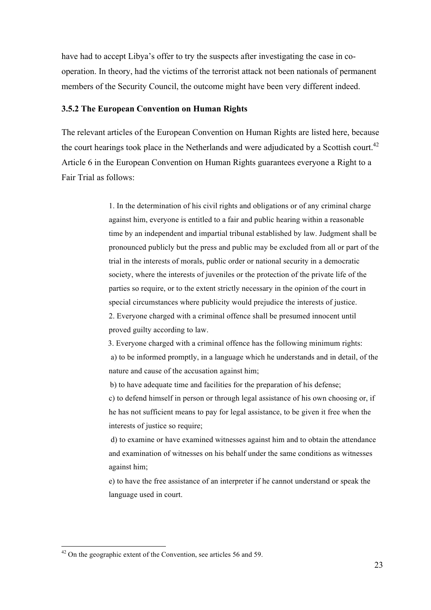have had to accept Libya's offer to try the suspects after investigating the case in cooperation. In theory, had the victims of the terrorist attack not been nationals of permanent members of the Security Council, the outcome might have been very different indeed.

#### **3.5.2 The European Convention on Human Rights**

The relevant articles of the European Convention on Human Rights are listed here, because the court hearings took place in the Netherlands and were adjudicated by a Scottish court.<sup>42</sup> Article 6 in the European Convention on Human Rights guarantees everyone a Right to a Fair Trial as follows:

> 1. In the determination of his civil rights and obligations or of any criminal charge against him, everyone is entitled to a fair and public hearing within a reasonable time by an independent and impartial tribunal established by law. Judgment shall be pronounced publicly but the press and public may be excluded from all or part of the trial in the interests of morals, public order or national security in a democratic society, where the interests of juveniles or the protection of the private life of the parties so require, or to the extent strictly necessary in the opinion of the court in special circumstances where publicity would prejudice the interests of justice. 2. Everyone charged with a criminal offence shall be presumed innocent until proved guilty according to law.

> 3. Everyone charged with a criminal offence has the following minimum rights: a) to be informed promptly, in a language which he understands and in detail, of the nature and cause of the accusation against him;

b) to have adequate time and facilities for the preparation of his defense;

c) to defend himself in person or through legal assistance of his own choosing or, if he has not sufficient means to pay for legal assistance, to be given it free when the interests of justice so require;

d) to examine or have examined witnesses against him and to obtain the attendance and examination of witnesses on his behalf under the same conditions as witnesses against him;

e) to have the free assistance of an interpreter if he cannot understand or speak the language used in court.

 $42$  On the geographic extent of the Convention, see articles 56 and 59.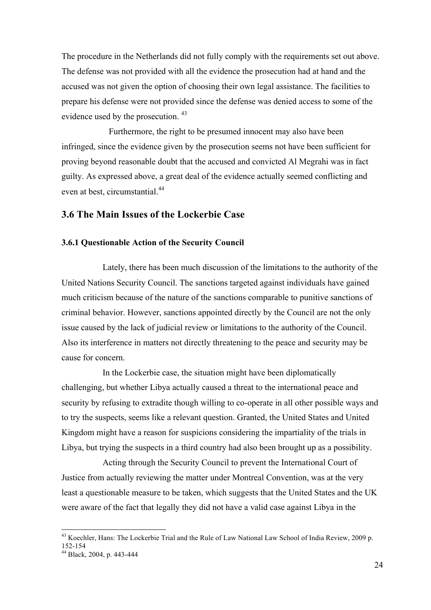The procedure in the Netherlands did not fully comply with the requirements set out above. The defense was not provided with all the evidence the prosecution had at hand and the accused was not given the option of choosing their own legal assistance. The facilities to prepare his defense were not provided since the defense was denied access to some of the evidence used by the prosecution. <sup>43</sup>

Furthermore, the right to be presumed innocent may also have been infringed, since the evidence given by the prosecution seems not have been sufficient for proving beyond reasonable doubt that the accused and convicted Al Megrahi was in fact guilty. As expressed above, a great deal of the evidence actually seemed conflicting and even at best, circumstantial<sup>44</sup>

## **3.6 The Main Issues of the Lockerbie Case**

#### **3.6.1 Questionable Action of the Security Council**

Lately, there has been much discussion of the limitations to the authority of the United Nations Security Council. The sanctions targeted against individuals have gained much criticism because of the nature of the sanctions comparable to punitive sanctions of criminal behavior. However, sanctions appointed directly by the Council are not the only issue caused by the lack of judicial review or limitations to the authority of the Council. Also its interference in matters not directly threatening to the peace and security may be cause for concern.

In the Lockerbie case, the situation might have been diplomatically challenging, but whether Libya actually caused a threat to the international peace and security by refusing to extradite though willing to co-operate in all other possible ways and to try the suspects, seems like a relevant question. Granted, the United States and United Kingdom might have a reason for suspicions considering the impartiality of the trials in Libya, but trying the suspects in a third country had also been brought up as a possibility.

Acting through the Security Council to prevent the International Court of Justice from actually reviewing the matter under Montreal Convention, was at the very least a questionable measure to be taken, which suggests that the United States and the UK were aware of the fact that legally they did not have a valid case against Libya in the

 $^{43}$  Koechler, Hans: The Lockerbie Trial and the Rule of Law National Law School of India Review, 2009 p.<br>152-154

<sup>&</sup>lt;sup>44</sup> Black, 2004, p. 443-444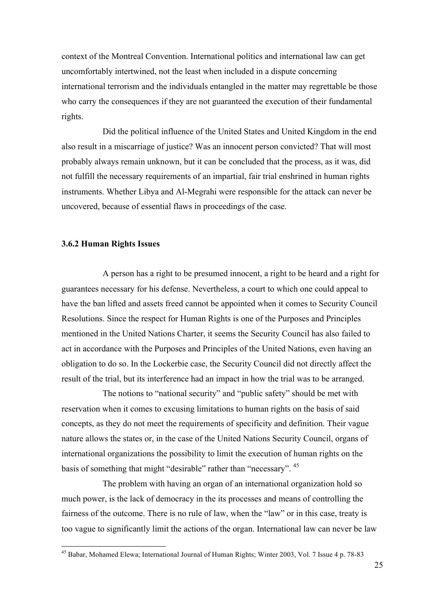context of the Montreal Convention. International politics and international law can get uncomfortably intertwined, not the least when included in a dispute concerning international terrorism and the individuals entangled in the matter may regrettable be those who carry the consequences if they are not guaranteed the execution of their fundamental rights.

Did the political influence of the United States and United Kingdom in the end also result in a miscarriage of justice? Was an innocent person convicted? That will most probably always remain unknown, but it can be concluded that the process, as it was, did not fulfill the necessary requirements of an impartial, fair trial enshrined in human rights instruments. Whether Libya and Al-Megrahi were responsible for the attack can never be uncovered, because of essential flaws in proceedings of the case.

#### **3.6.2 Human Rights Issues**

A person has a right to be presumed innocent, a right to be heard and a right for guarantees necessary for his defense. Nevertheless, a court to which one could appeal to have the ban lifted and assets freed cannot be appointed when it comes to Security Council Resolutions. Since the respect for Human Rights is one of the Purposes and Principles mentioned in the United Nations Charter, it seems the Security Council has also failed to act in accordance with the Purposes and Principles of the United Nations, even having an obligation to do so. In the Lockerbie case, the Security Council did not directly affect the result of the trial, but its interference had an impact in how the trial was to be arranged.

The notions to "national security" and "public safety" should be met with reservation when it comes to excusing limitations to human rights on the basis of said concepts, as they do not meet the requirements of specificity and definition. Their vague nature allows the states or, in the case of the United Nations Security Council, organs of international organizations the possibility to limit the execution of human rights on the basis of something that might "desirable" rather than "necessary". <sup>45</sup>

The problem with having an organ of an international organization hold so much power, is the lack of democracy in the its processes and means of controlling the fairness of the outcome. There is no rule of law, when the "law" or in this case, treaty is too vague to significantly limit the actions of the organ. International law can never be law

 <sup>45</sup> Babar, Mohamed Elewa; International Journal of Human Rights; Winter 2003, Vol. 7 Issue 4 p. 78-83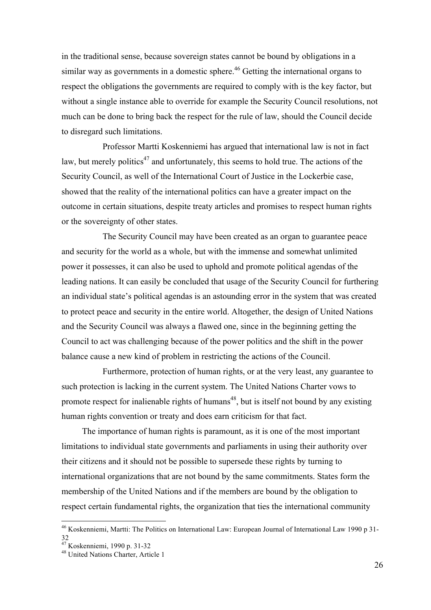in the traditional sense, because sovereign states cannot be bound by obligations in a similar way as governments in a domestic sphere.<sup>46</sup> Getting the international organs to respect the obligations the governments are required to comply with is the key factor, but without a single instance able to override for example the Security Council resolutions, not much can be done to bring back the respect for the rule of law, should the Council decide to disregard such limitations.

Professor Martti Koskenniemi has argued that international law is not in fact law, but merely politics<sup>47</sup> and unfortunately, this seems to hold true. The actions of the Security Council, as well of the International Court of Justice in the Lockerbie case, showed that the reality of the international politics can have a greater impact on the outcome in certain situations, despite treaty articles and promises to respect human rights or the sovereignty of other states.

The Security Council may have been created as an organ to guarantee peace and security for the world as a whole, but with the immense and somewhat unlimited power it possesses, it can also be used to uphold and promote political agendas of the leading nations. It can easily be concluded that usage of the Security Council for furthering an individual state's political agendas is an astounding error in the system that was created to protect peace and security in the entire world. Altogether, the design of United Nations and the Security Council was always a flawed one, since in the beginning getting the Council to act was challenging because of the power politics and the shift in the power balance cause a new kind of problem in restricting the actions of the Council.

Furthermore, protection of human rights, or at the very least, any guarantee to such protection is lacking in the current system. The United Nations Charter vows to promote respect for inalienable rights of humans<sup>48</sup>, but is itself not bound by any existing human rights convention or treaty and does earn criticism for that fact.

The importance of human rights is paramount, as it is one of the most important limitations to individual state governments and parliaments in using their authority over their citizens and it should not be possible to supersede these rights by turning to international organizations that are not bound by the same commitments. States form the membership of the United Nations and if the members are bound by the obligation to respect certain fundamental rights, the organization that ties the international community

 <sup>46</sup> Koskenniemi, Martti: The Politics on International Law: European Journal of International Law 1990 p 31- 32

<sup>&</sup>lt;sup>47</sup> Koskenniemi, 1990 p. 31-32<br><sup>48</sup> United Nations Charter, Article 1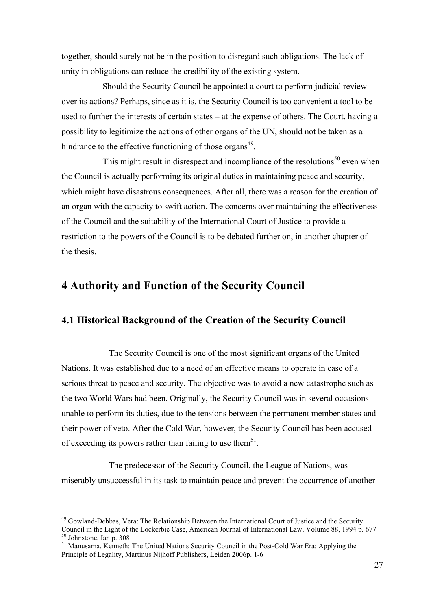together, should surely not be in the position to disregard such obligations. The lack of unity in obligations can reduce the credibility of the existing system.

Should the Security Council be appointed a court to perform judicial review over its actions? Perhaps, since as it is, the Security Council is too convenient a tool to be used to further the interests of certain states – at the expense of others. The Court, having a possibility to legitimize the actions of other organs of the UN, should not be taken as a hindrance to the effective functioning of those organs $^{49}$ .

This might result in disrespect and incompliance of the resolutions<sup>50</sup> even when the Council is actually performing its original duties in maintaining peace and security, which might have disastrous consequences. After all, there was a reason for the creation of an organ with the capacity to swift action. The concerns over maintaining the effectiveness of the Council and the suitability of the International Court of Justice to provide a restriction to the powers of the Council is to be debated further on, in another chapter of the thesis.

## **4 Authority and Function of the Security Council**

## **4.1 Historical Background of the Creation of the Security Council**

The Security Council is one of the most significant organs of the United Nations. It was established due to a need of an effective means to operate in case of a serious threat to peace and security. The objective was to avoid a new catastrophe such as the two World Wars had been. Originally, the Security Council was in several occasions unable to perform its duties, due to the tensions between the permanent member states and their power of veto. After the Cold War, however, the Security Council has been accused of exceeding its powers rather than failing to use them<sup>51</sup>.

The predecessor of the Security Council, the League of Nations, was miserably unsuccessful in its task to maintain peace and prevent the occurrence of another

<sup>&</sup>lt;sup>49</sup> Gowland-Debbas, Vera: The Relationship Between the International Court of Justice and the Security Council in the Light of the Lockerbie Case, American Journal of International Law, Volume 88, 1994 p. 677<br><sup>50</sup> Johnstone, Ian p. 308<br><sup>51</sup> Manusama, Kenneth: The United Nations Security Council in the Post-Cold War Era; App

Principle of Legality, Martinus Nijhoff Publishers, Leiden 2006p. 1-6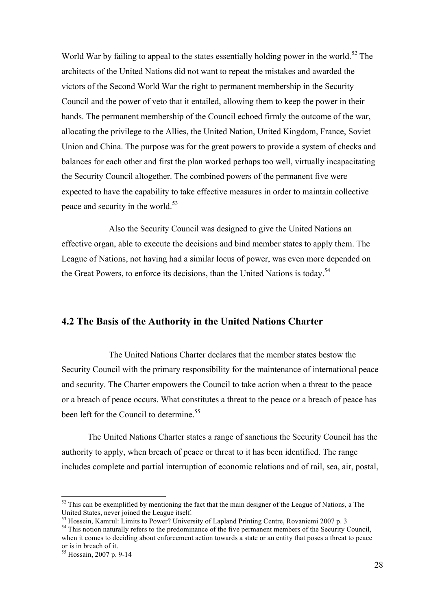World War by failing to appeal to the states essentially holding power in the world.<sup>52</sup> The architects of the United Nations did not want to repeat the mistakes and awarded the victors of the Second World War the right to permanent membership in the Security Council and the power of veto that it entailed, allowing them to keep the power in their hands. The permanent membership of the Council echoed firmly the outcome of the war, allocating the privilege to the Allies, the United Nation, United Kingdom, France, Soviet Union and China. The purpose was for the great powers to provide a system of checks and balances for each other and first the plan worked perhaps too well, virtually incapacitating the Security Council altogether. The combined powers of the permanent five were expected to have the capability to take effective measures in order to maintain collective peace and security in the world.<sup>53</sup>

Also the Security Council was designed to give the United Nations an effective organ, able to execute the decisions and bind member states to apply them. The League of Nations, not having had a similar locus of power, was even more depended on the Great Powers, to enforce its decisions, than the United Nations is today.<sup>54</sup>

## **4.2 The Basis of the Authority in the United Nations Charter**

The United Nations Charter declares that the member states bestow the Security Council with the primary responsibility for the maintenance of international peace and security. The Charter empowers the Council to take action when a threat to the peace or a breach of peace occurs. What constitutes a threat to the peace or a breach of peace has been left for the Council to determine.<sup>55</sup>

The United Nations Charter states a range of sanctions the Security Council has the authority to apply, when breach of peace or threat to it has been identified. The range includes complete and partial interruption of economic relations and of rail, sea, air, postal,

 $52$  This can be exemplified by mentioning the fact that the main designer of the League of Nations, a The United States, never joined the League itself.<br>
<sup>53</sup> Hossein, Kamrul: Limits to Power? University of Lapland Printing Centre, Rovaniemi 2007 p. 3

<sup>&</sup>lt;sup>54</sup> This notion naturally refers to the predominance of the five permanent members of the Security Council, when it comes to deciding about enforcement action towards a state or an entity that poses a threat to peace or is in breach of it.

<sup>55</sup> Hossain, 2007 p. 9-14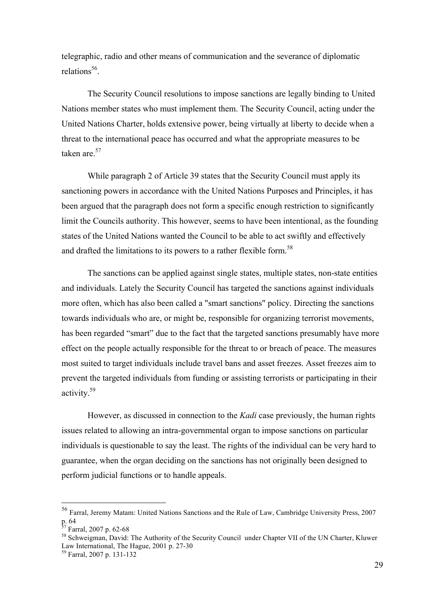telegraphic, radio and other means of communication and the severance of diplomatic relations<sup>56</sup>

The Security Council resolutions to impose sanctions are legally binding to United Nations member states who must implement them. The Security Council, acting under the United Nations Charter, holds extensive power, being virtually at liberty to decide when a threat to the international peace has occurred and what the appropriate measures to be taken are<sup>57</sup>

While paragraph 2 of Article 39 states that the Security Council must apply its sanctioning powers in accordance with the United Nations Purposes and Principles, it has been argued that the paragraph does not form a specific enough restriction to significantly limit the Councils authority. This however, seems to have been intentional, as the founding states of the United Nations wanted the Council to be able to act swiftly and effectively and drafted the limitations to its powers to a rather flexible form.<sup>58</sup>

The sanctions can be applied against single states, multiple states, non-state entities and individuals. Lately the Security Council has targeted the sanctions against individuals more often, which has also been called a "smart sanctions" policy. Directing the sanctions towards individuals who are, or might be, responsible for organizing terrorist movements, has been regarded "smart" due to the fact that the targeted sanctions presumably have more effect on the people actually responsible for the threat to or breach of peace. The measures most suited to target individuals include travel bans and asset freezes. Asset freezes aim to prevent the targeted individuals from funding or assisting terrorists or participating in their activity.59

However, as discussed in connection to the *Kadi* case previously, the human rights issues related to allowing an intra-governmental organ to impose sanctions on particular individuals is questionable to say the least. The rights of the individual can be very hard to guarantee, when the organ deciding on the sanctions has not originally been designed to perform judicial functions or to handle appeals.

<sup>&</sup>lt;sup>56</sup> Farral, Jeremy Matam: United Nations Sanctions and the Rule of Law, Cambridge University Press, 2007<br>p. 64<br> $\frac{57 \text{ F}}{255 \text{ F}}$ 

 $57$  Farral, 2007 p. 62-68<br>  $58$  Schweigman, David: The Authority of the Security Council under Chapter VII of the UN Charter, Kluwer Law International, The Hague, 2001 p. 27-30 <sup>59</sup> Farral, 2007 p. 131-132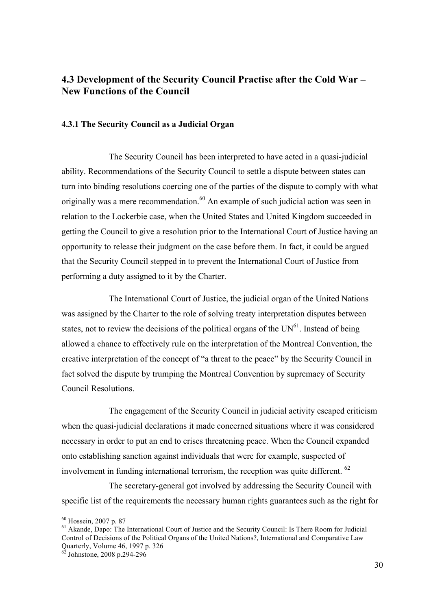## **4.3 Development of the Security Council Practise after the Cold War – New Functions of the Council**

### **4.3.1 The Security Council as a Judicial Organ**

The Security Council has been interpreted to have acted in a quasi-judicial ability. Recommendations of the Security Council to settle a dispute between states can turn into binding resolutions coercing one of the parties of the dispute to comply with what originally was a mere recommendation.<sup>60</sup> An example of such judicial action was seen in relation to the Lockerbie case, when the United States and United Kingdom succeeded in getting the Council to give a resolution prior to the International Court of Justice having an opportunity to release their judgment on the case before them. In fact, it could be argued that the Security Council stepped in to prevent the International Court of Justice from performing a duty assigned to it by the Charter.

The International Court of Justice, the judicial organ of the United Nations was assigned by the Charter to the role of solving treaty interpretation disputes between states, not to review the decisions of the political organs of the  $UN<sup>61</sup>$ . Instead of being allowed a chance to effectively rule on the interpretation of the Montreal Convention, the creative interpretation of the concept of "a threat to the peace" by the Security Council in fact solved the dispute by trumping the Montreal Convention by supremacy of Security Council Resolutions.

The engagement of the Security Council in judicial activity escaped criticism when the quasi-judicial declarations it made concerned situations where it was considered necessary in order to put an end to crises threatening peace. When the Council expanded onto establishing sanction against individuals that were for example, suspected of involvement in funding international terrorism, the reception was quite different.  $^{62}$ 

The secretary-general got involved by addressing the Security Council with specific list of the requirements the necessary human rights guarantees such as the right for

 $^{60}$  Hossein, 2007 p. 87<br><sup>61</sup> Akande, Dapo: The International Court of Justice and the Security Council: Is There Room for Judicial Control of Decisions of the Political Organs of the United Nations?, International and Comparative Law

 $62$  Johnstone, 2008 p.294-296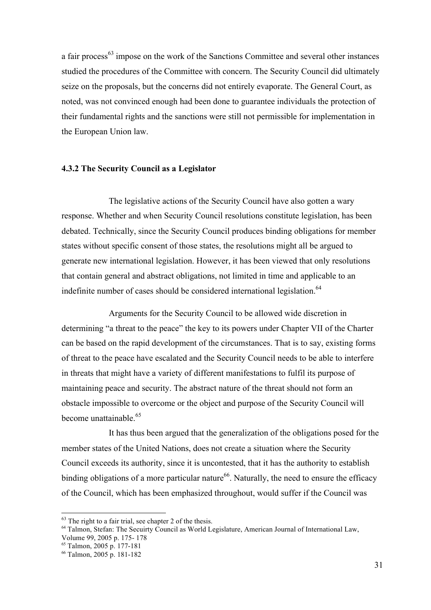a fair process<sup>63</sup> impose on the work of the Sanctions Committee and several other instances studied the procedures of the Committee with concern. The Security Council did ultimately seize on the proposals, but the concerns did not entirely evaporate. The General Court, as noted, was not convinced enough had been done to guarantee individuals the protection of their fundamental rights and the sanctions were still not permissible for implementation in the European Union law.

#### **4.3.2 The Security Council as a Legislator**

The legislative actions of the Security Council have also gotten a wary response. Whether and when Security Council resolutions constitute legislation, has been debated. Technically, since the Security Council produces binding obligations for member states without specific consent of those states, the resolutions might all be argued to generate new international legislation. However, it has been viewed that only resolutions that contain general and abstract obligations, not limited in time and applicable to an indefinite number of cases should be considered international legislation.<sup>64</sup>

Arguments for the Security Council to be allowed wide discretion in determining "a threat to the peace" the key to its powers under Chapter VII of the Charter can be based on the rapid development of the circumstances. That is to say, existing forms of threat to the peace have escalated and the Security Council needs to be able to interfere in threats that might have a variety of different manifestations to fulfil its purpose of maintaining peace and security. The abstract nature of the threat should not form an obstacle impossible to overcome or the object and purpose of the Security Council will become unattainable. $65$ 

It has thus been argued that the generalization of the obligations posed for the member states of the United Nations, does not create a situation where the Security Council exceeds its authority, since it is uncontested, that it has the authority to establish binding obligations of a more particular nature<sup>66</sup>. Naturally, the need to ensure the efficacy of the Council, which has been emphasized throughout, would suffer if the Council was

 $63$  The right to a fair trial, see chapter 2 of the thesis.

<sup>64</sup> Talmon, Stefan: The Secuirty Council as World Legislature, American Journal of International Law,

Volume 99, 2005 p. 175- 178

<sup>65</sup> Talmon, 2005 p. 177-181

<sup>66</sup> Talmon, 2005 p. 181-182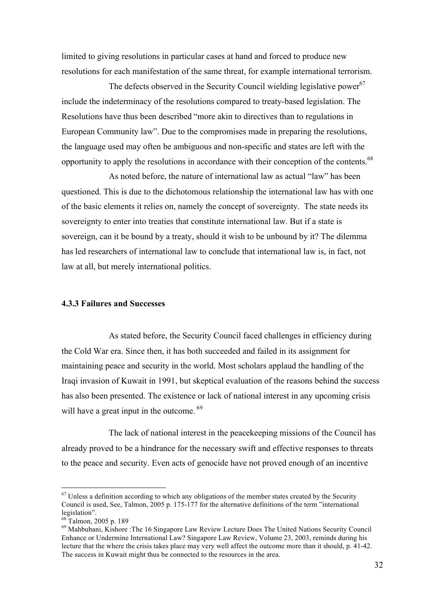limited to giving resolutions in particular cases at hand and forced to produce new resolutions for each manifestation of the same threat, for example international terrorism.

The defects observed in the Security Council wielding legislative power<sup>67</sup> include the indeterminacy of the resolutions compared to treaty-based legislation. The Resolutions have thus been described "more akin to directives than to regulations in European Community law". Due to the compromises made in preparing the resolutions, the language used may often be ambiguous and non-specific and states are left with the opportunity to apply the resolutions in accordance with their conception of the contents.<sup>68</sup>

As noted before, the nature of international law as actual "law" has been questioned. This is due to the dichotomous relationship the international law has with one of the basic elements it relies on, namely the concept of sovereignty. The state needs its sovereignty to enter into treaties that constitute international law. But if a state is sovereign, can it be bound by a treaty, should it wish to be unbound by it? The dilemma has led researchers of international law to conclude that international law is, in fact, not law at all, but merely international politics.

#### **4.3.3 Failures and Successes**

As stated before, the Security Council faced challenges in efficiency during the Cold War era. Since then, it has both succeeded and failed in its assignment for maintaining peace and security in the world. Most scholars applaud the handling of the Iraqi invasion of Kuwait in 1991, but skeptical evaluation of the reasons behind the success has also been presented. The existence or lack of national interest in any upcoming crisis will have a great input in the outcome. <sup>69</sup>

The lack of national interest in the peacekeeping missions of the Council has already proved to be a hindrance for the necessary swift and effective responses to threats to the peace and security. Even acts of genocide have not proved enough of an incentive

 $67$  Unless a definition according to which any obligations of the member states created by the Security Council is used, See, Talmon, 2005 p. 175-177 for the alternative definitions of the term "international legislation".

<sup>68</sup> Talmon, 2005 p. 189<br><sup>69</sup> Mahbubani, Kishore :The 16 Singapore Law Review Lecture Does The United Nations Security Council Enhance or Undermine International Law? Singapore Law Review, Volume 23, 2003, reminds during his lecture that the where the crisis takes place may very well affect the outcome more than it should, p. 41-42. The success in Kuwait might thus be connected to the resources in the area.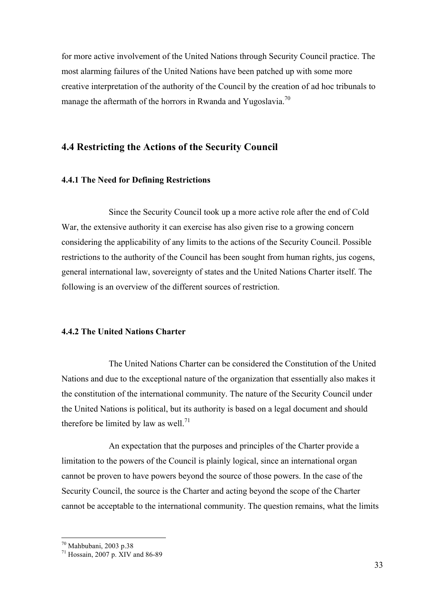for more active involvement of the United Nations through Security Council practice. The most alarming failures of the United Nations have been patched up with some more creative interpretation of the authority of the Council by the creation of ad hoc tribunals to manage the aftermath of the horrors in Rwanda and Yugoslavia.<sup>70</sup>

## **4.4 Restricting the Actions of the Security Council**

### **4.4.1 The Need for Defining Restrictions**

Since the Security Council took up a more active role after the end of Cold War, the extensive authority it can exercise has also given rise to a growing concern considering the applicability of any limits to the actions of the Security Council. Possible restrictions to the authority of the Council has been sought from human rights, jus cogens, general international law, sovereignty of states and the United Nations Charter itself. The following is an overview of the different sources of restriction.

### **4.4.2 The United Nations Charter**

The United Nations Charter can be considered the Constitution of the United Nations and due to the exceptional nature of the organization that essentially also makes it the constitution of the international community. The nature of the Security Council under the United Nations is political, but its authority is based on a legal document and should therefore be limited by law as well.<sup>71</sup>

An expectation that the purposes and principles of the Charter provide a limitation to the powers of the Council is plainly logical, since an international organ cannot be proven to have powers beyond the source of those powers. In the case of the Security Council, the source is the Charter and acting beyond the scope of the Charter cannot be acceptable to the international community. The question remains, what the limits

<sup>&</sup>lt;sup>70</sup> Mahbubani, 2003 p.38<br><sup>71</sup> Hossain, 2007 p. XIV and 86-89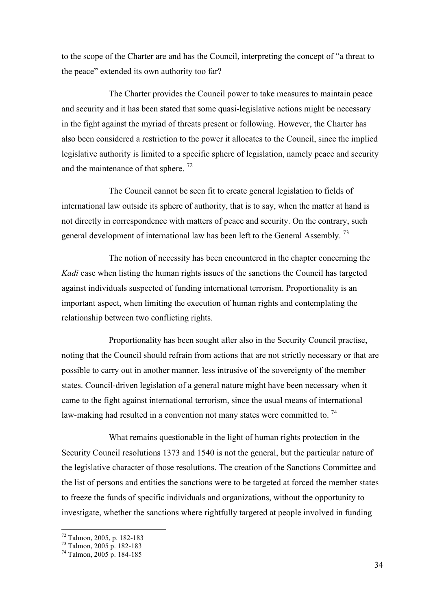to the scope of the Charter are and has the Council, interpreting the concept of "a threat to the peace" extended its own authority too far?

The Charter provides the Council power to take measures to maintain peace and security and it has been stated that some quasi-legislative actions might be necessary in the fight against the myriad of threats present or following. However, the Charter has also been considered a restriction to the power it allocates to the Council, since the implied legislative authority is limited to a specific sphere of legislation, namely peace and security and the maintenance of that sphere.<sup>72</sup>

The Council cannot be seen fit to create general legislation to fields of international law outside its sphere of authority, that is to say, when the matter at hand is not directly in correspondence with matters of peace and security. On the contrary, such general development of international law has been left to the General Assembly.<sup>73</sup>

The notion of necessity has been encountered in the chapter concerning the *Kadi* case when listing the human rights issues of the sanctions the Council has targeted against individuals suspected of funding international terrorism. Proportionality is an important aspect, when limiting the execution of human rights and contemplating the relationship between two conflicting rights.

Proportionality has been sought after also in the Security Council practise, noting that the Council should refrain from actions that are not strictly necessary or that are possible to carry out in another manner, less intrusive of the sovereignty of the member states. Council-driven legislation of a general nature might have been necessary when it came to the fight against international terrorism, since the usual means of international law-making had resulted in a convention not many states were committed to.<sup>74</sup>

What remains questionable in the light of human rights protection in the Security Council resolutions 1373 and 1540 is not the general, but the particular nature of the legislative character of those resolutions. The creation of the Sanctions Committee and the list of persons and entities the sanctions were to be targeted at forced the member states to freeze the funds of specific individuals and organizations, without the opportunity to investigate, whether the sanctions where rightfully targeted at people involved in funding

 $^{72}$  Talmon, 2005, p. 182-183<br> $^{73}$  Talmon, 2005 p. 182-183<br> $^{74}$  Talmon, 2005 p. 184-185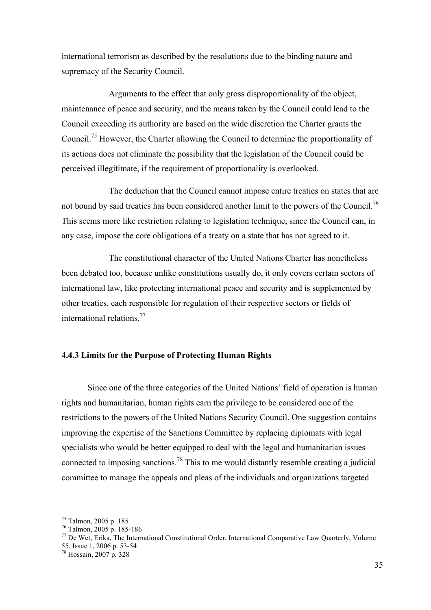international terrorism as described by the resolutions due to the binding nature and supremacy of the Security Council.

Arguments to the effect that only gross disproportionality of the object, maintenance of peace and security, and the means taken by the Council could lead to the Council exceeding its authority are based on the wide discretion the Charter grants the Council.<sup>75</sup> However, the Charter allowing the Council to determine the proportionality of its actions does not eliminate the possibility that the legislation of the Council could be perceived illegitimate, if the requirement of proportionality is overlooked.

The deduction that the Council cannot impose entire treaties on states that are not bound by said treaties has been considered another limit to the powers of the Council.<sup>76</sup> This seems more like restriction relating to legislation technique, since the Council can, in any case, impose the core obligations of a treaty on a state that has not agreed to it.

The constitutional character of the United Nations Charter has nonetheless been debated too, because unlike constitutions usually do, it only covers certain sectors of international law, like protecting international peace and security and is supplemented by other treaties, each responsible for regulation of their respective sectors or fields of international relations.<sup>77</sup>

## **4.4.3 Limits for the Purpose of Protecting Human Rights**

Since one of the three categories of the United Nations' field of operation is human rights and humanitarian, human rights earn the privilege to be considered one of the restrictions to the powers of the United Nations Security Council. One suggestion contains improving the expertise of the Sanctions Committee by replacing diplomats with legal specialists who would be better equipped to deal with the legal and humanitarian issues connected to imposing sanctions.<sup>78</sup> This to me would distantly resemble creating a judicial committee to manage the appeals and pleas of the individuals and organizations targeted

<sup>&</sup>lt;sup>75</sup> Talmon, 2005 p. 185<br><sup>76</sup> Talmon, 2005 p. 185-186<br><sup>77</sup> De Wet, Erika, The International Constitutional Order, International Comparative Law Quarterly, Volume<br>55, Issue 1, 2006 p. 53-54

 $\frac{78}{16}$  Hossain, 2007 p. 328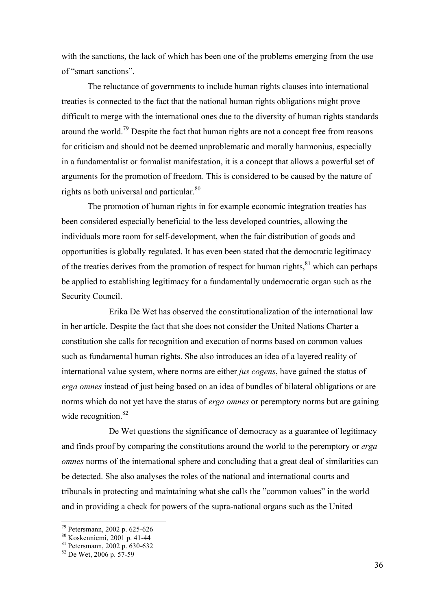with the sanctions, the lack of which has been one of the problems emerging from the use of "smart sanctions".

The reluctance of governments to include human rights clauses into international treaties is connected to the fact that the national human rights obligations might prove difficult to merge with the international ones due to the diversity of human rights standards around the world.79 Despite the fact that human rights are not a concept free from reasons for criticism and should not be deemed unproblematic and morally harmonius, especially in a fundamentalist or formalist manifestation, it is a concept that allows a powerful set of arguments for the promotion of freedom. This is considered to be caused by the nature of rights as both universal and particular. $80$ 

The promotion of human rights in for example economic integration treaties has been considered especially beneficial to the less developed countries, allowing the individuals more room for self-development, when the fair distribution of goods and opportunities is globally regulated. It has even been stated that the democratic legitimacy of the treaties derives from the promotion of respect for human rights.<sup>81</sup> which can perhaps be applied to establishing legitimacy for a fundamentally undemocratic organ such as the Security Council.

Erika De Wet has observed the constitutionalization of the international law in her article. Despite the fact that she does not consider the United Nations Charter a constitution she calls for recognition and execution of norms based on common values such as fundamental human rights. She also introduces an idea of a layered reality of international value system, where norms are either *jus cogens*, have gained the status of *erga omnes* instead of just being based on an idea of bundles of bilateral obligations or are norms which do not yet have the status of *erga omnes* or peremptory norms but are gaining wide recognition.<sup>82</sup>

De Wet questions the significance of democracy as a guarantee of legitimacy and finds proof by comparing the constitutions around the world to the peremptory or *erga omnes* norms of the international sphere and concluding that a great deal of similarities can be detected. She also analyses the roles of the national and international courts and tribunals in protecting and maintaining what she calls the "common values" in the world and in providing a check for powers of the supra-national organs such as the United

<sup>&</sup>lt;sup>79</sup> Petersmann, 2002 p. 625-626<br><sup>80</sup> Koskenniemi, 2001 p. 41-44<br><sup>81</sup> Petersmann, 2002 p. 630-632<br><sup>82</sup> De Wet, 2006 p. 57-59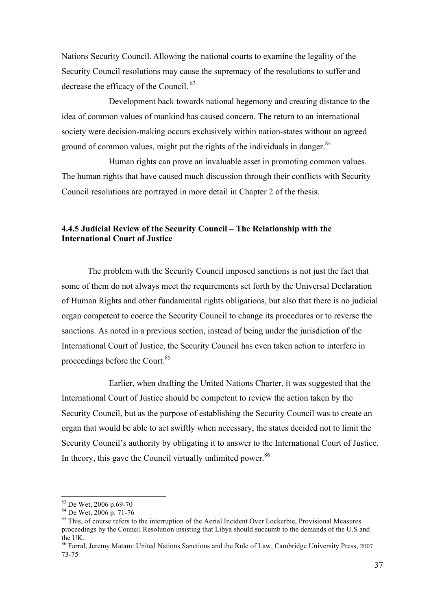Nations Security Council. Allowing the national courts to examine the legality of the Security Council resolutions may cause the supremacy of the resolutions to suffer and decrease the efficacy of the Council. <sup>83</sup>

Development back towards national hegemony and creating distance to the idea of common values of mankind has caused concern. The return to an international society were decision-making occurs exclusively within nation-states without an agreed ground of common values, might put the rights of the individuals in danger.<sup>84</sup>

Human rights can prove an invaluable asset in promoting common values. The human rights that have caused much discussion through their conflicts with Security Council resolutions are portrayed in more detail in Chapter 2 of the thesis.

## **4.4.5 Judicial Review of the Security Council – The Relationship with the International Court of Justice**

The problem with the Security Council imposed sanctions is not just the fact that some of them do not always meet the requirements set forth by the Universal Declaration of Human Rights and other fundamental rights obligations, but also that there is no judicial organ competent to coerce the Security Council to change its procedures or to reverse the sanctions. As noted in a previous section, instead of being under the jurisdiction of the International Court of Justice, the Security Council has even taken action to interfere in proceedings before the Court.<sup>85</sup>

Earlier, when drafting the United Nations Charter, it was suggested that the International Court of Justice should be competent to review the action taken by the Security Council, but as the purpose of establishing the Security Council was to create an organ that would be able to act swiftly when necessary, the states decided not to limit the Security Council's authority by obligating it to answer to the International Court of Justice. In theory, this gave the Council virtually unlimited power.  $86$ 

<sup>&</sup>lt;sup>83</sup> De Wet, 2006 p.69-70<br><sup>84</sup> De Wet, 2006 p. 71-76<br><sup>85</sup> This, of course refers to the interruption of the Aerial Incident Over Lockerbie, Provisional Measures proceedings by the Council Resolution insisting that Libya should succumb to the demands of the U.S and the UK.

<sup>86</sup> Farral, Jeremy Matam: United Nations Sanctions and the Rule of Law, Cambridge University Press, 2007 73-75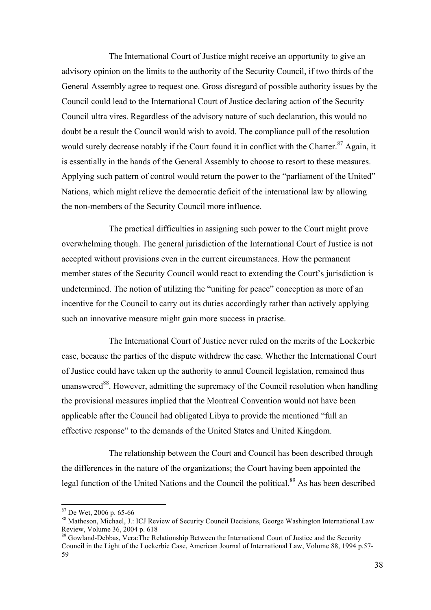The International Court of Justice might receive an opportunity to give an advisory opinion on the limits to the authority of the Security Council, if two thirds of the General Assembly agree to request one. Gross disregard of possible authority issues by the Council could lead to the International Court of Justice declaring action of the Security Council ultra vires. Regardless of the advisory nature of such declaration, this would no doubt be a result the Council would wish to avoid. The compliance pull of the resolution would surely decrease notably if the Court found it in conflict with the Charter.<sup>87</sup> Again, it is essentially in the hands of the General Assembly to choose to resort to these measures. Applying such pattern of control would return the power to the "parliament of the United" Nations, which might relieve the democratic deficit of the international law by allowing the non-members of the Security Council more influence.

The practical difficulties in assigning such power to the Court might prove overwhelming though. The general jurisdiction of the International Court of Justice is not accepted without provisions even in the current circumstances. How the permanent member states of the Security Council would react to extending the Court's jurisdiction is undetermined. The notion of utilizing the "uniting for peace" conception as more of an incentive for the Council to carry out its duties accordingly rather than actively applying such an innovative measure might gain more success in practise.

The International Court of Justice never ruled on the merits of the Lockerbie case, because the parties of the dispute withdrew the case. Whether the International Court of Justice could have taken up the authority to annul Council legislation, remained thus unanswered<sup>88</sup>. However, admitting the supremacy of the Council resolution when handling the provisional measures implied that the Montreal Convention would not have been applicable after the Council had obligated Libya to provide the mentioned "full an effective response" to the demands of the United States and United Kingdom.

The relationship between the Court and Council has been described through the differences in the nature of the organizations; the Court having been appointed the legal function of the United Nations and the Council the political.<sup>89</sup> As has been described

<sup>&</sup>lt;sup>87</sup> De Wet, 2006 p. 65-66<br><sup>88</sup> Matheson, Michael, J.: ICJ Review of Security Council Decisions, George Washington International Law<br>Review, Volume 36, 2004 p. 618

 $89$  Gowland-Debbas, Vera: The Relationship Between the International Court of Justice and the Security Council in the Light of the Lockerbie Case, American Journal of International Law, Volume 88, 1994 p.57- 59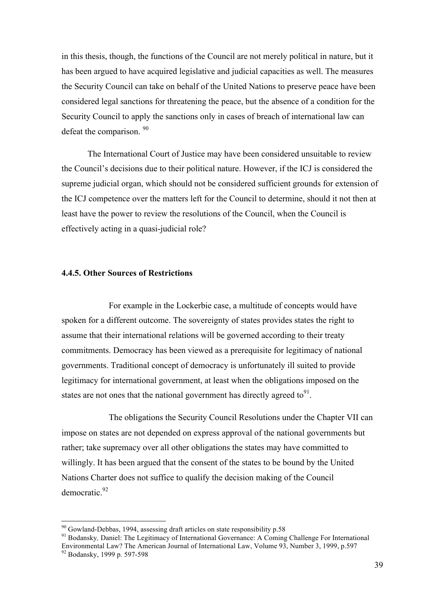in this thesis, though, the functions of the Council are not merely political in nature, but it has been argued to have acquired legislative and judicial capacities as well. The measures the Security Council can take on behalf of the United Nations to preserve peace have been considered legal sanctions for threatening the peace, but the absence of a condition for the Security Council to apply the sanctions only in cases of breach of international law can defeat the comparison. 90

The International Court of Justice may have been considered unsuitable to review the Council's decisions due to their political nature. However, if the ICJ is considered the supreme judicial organ, which should not be considered sufficient grounds for extension of the ICJ competence over the matters left for the Council to determine, should it not then at least have the power to review the resolutions of the Council, when the Council is effectively acting in a quasi-judicial role?

### **4.4.5. Other Sources of Restrictions**

For example in the Lockerbie case, a multitude of concepts would have spoken for a different outcome. The sovereignty of states provides states the right to assume that their international relations will be governed according to their treaty commitments. Democracy has been viewed as a prerequisite for legitimacy of national governments. Traditional concept of democracy is unfortunately ill suited to provide legitimacy for international government, at least when the obligations imposed on the states are not ones that the national government has directly agreed to $91$ .

The obligations the Security Council Resolutions under the Chapter VII can impose on states are not depended on express approval of the national governments but rather; take supremacy over all other obligations the states may have committed to willingly. It has been argued that the consent of the states to be bound by the United Nations Charter does not suffice to qualify the decision making of the Council democratic<sup>92</sup>

<sup>90</sup> Gowland-Debbas, 1994, assessing draft articles on state responsibility p.58 <sup>91</sup> Bodansky*,* Daniel: The Legitimacy of International Governance: A Coming Challenge For International Environmental Law? The American Journal of International Law, Volume 93, Number 3, 1999, p.597<br><sup>92</sup> Bodansky, 1999 p. 597-598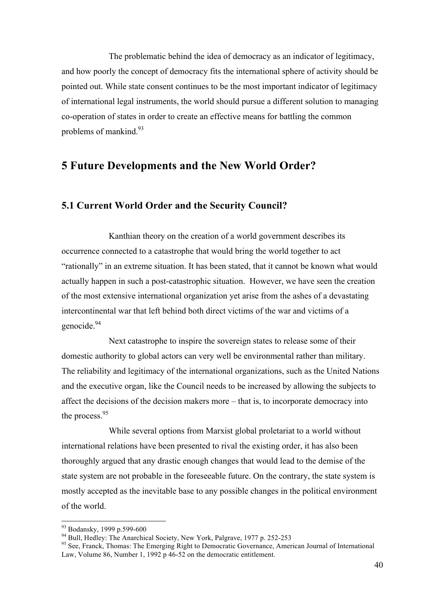The problematic behind the idea of democracy as an indicator of legitimacy, and how poorly the concept of democracy fits the international sphere of activity should be pointed out. While state consent continues to be the most important indicator of legitimacy of international legal instruments, the world should pursue a different solution to managing co-operation of states in order to create an effective means for battling the common problems of mankind. $93$ 

# **5 Future Developments and the New World Order?**

## **5.1 Current World Order and the Security Council?**

Kanthian theory on the creation of a world government describes its occurrence connected to a catastrophe that would bring the world together to act "rationally" in an extreme situation. It has been stated, that it cannot be known what would actually happen in such a post-catastrophic situation. However, we have seen the creation of the most extensive international organization yet arise from the ashes of a devastating intercontinental war that left behind both direct victims of the war and victims of a genocide.<sup>94</sup>

Next catastrophe to inspire the sovereign states to release some of their domestic authority to global actors can very well be environmental rather than military. The reliability and legitimacy of the international organizations, such as the United Nations and the executive organ, like the Council needs to be increased by allowing the subjects to affect the decisions of the decision makers more – that is, to incorporate democracy into the process.<sup>95</sup>

While several options from Marxist global proletariat to a world without international relations have been presented to rival the existing order, it has also been thoroughly argued that any drastic enough changes that would lead to the demise of the state system are not probable in the foreseeable future. On the contrary, the state system is mostly accepted as the inevitable base to any possible changes in the political environment of the world.

<sup>&</sup>lt;sup>93</sup> Bodansky, 1999 p.599-600<br><sup>94</sup> Bull, Hedley: The Anarchical Society, New York, Palgrave, 1977 p. 252-253<br><sup>95</sup> See, Franck, Thomas: The Emerging Right to Democratic Governance, American Journal of International Law, Volume 86, Number 1, 1992 p 46-52 on the democratic entitlement.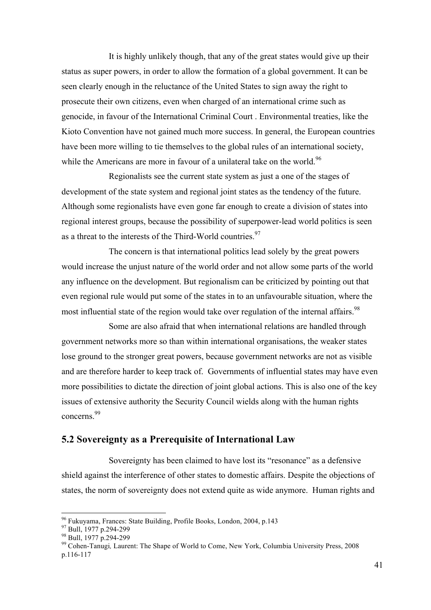It is highly unlikely though, that any of the great states would give up their status as super powers, in order to allow the formation of a global government. It can be seen clearly enough in the reluctance of the United States to sign away the right to prosecute their own citizens, even when charged of an international crime such as genocide, in favour of the International Criminal Court . Environmental treaties, like the Kioto Convention have not gained much more success. In general, the European countries have been more willing to tie themselves to the global rules of an international society, while the Americans are more in favour of a unilateral take on the world.<sup>96</sup>

Regionalists see the current state system as just a one of the stages of development of the state system and regional joint states as the tendency of the future. Although some regionalists have even gone far enough to create a division of states into regional interest groups, because the possibility of superpower-lead world politics is seen as a threat to the interests of the Third-World countries.<sup>97</sup>

The concern is that international politics lead solely by the great powers would increase the unjust nature of the world order and not allow some parts of the world any influence on the development. But regionalism can be criticized by pointing out that even regional rule would put some of the states in to an unfavourable situation, where the most influential state of the region would take over regulation of the internal affairs.<sup>98</sup>

Some are also afraid that when international relations are handled through government networks more so than within international organisations, the weaker states lose ground to the stronger great powers, because government networks are not as visible and are therefore harder to keep track of. Governments of influential states may have even more possibilities to dictate the direction of joint global actions. This is also one of the key issues of extensive authority the Security Council wields along with the human rights concerns.99

## **5.2 Sovereignty as a Prerequisite of International Law**

Sovereignty has been claimed to have lost its "resonance" as a defensive shield against the interference of other states to domestic affairs. Despite the objections of states, the norm of sovereignty does not extend quite as wide anymore. Human rights and

<sup>&</sup>lt;sup>96</sup> Fukuyama, Frances: State Building, Profile Books, London, 2004, p.143<br><sup>97</sup> Bull, 1977 p.294-299<br><sup>98</sup> Bull, 1977 p.294-299<br><sup>99</sup> Cohen-Tanugi, Laurent: The Shape of World to Come, New York, Columbia University Press, 20 p.116-117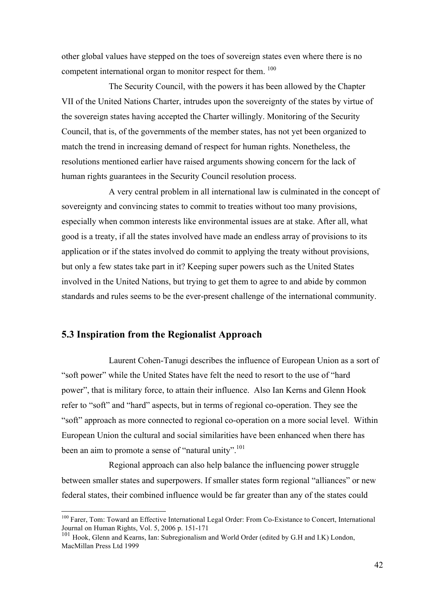other global values have stepped on the toes of sovereign states even where there is no competent international organ to monitor respect for them. <sup>100</sup>

The Security Council, with the powers it has been allowed by the Chapter VII of the United Nations Charter, intrudes upon the sovereignty of the states by virtue of the sovereign states having accepted the Charter willingly. Monitoring of the Security Council, that is, of the governments of the member states, has not yet been organized to match the trend in increasing demand of respect for human rights. Nonetheless, the resolutions mentioned earlier have raised arguments showing concern for the lack of human rights guarantees in the Security Council resolution process.

A very central problem in all international law is culminated in the concept of sovereignty and convincing states to commit to treaties without too many provisions, especially when common interests like environmental issues are at stake. After all, what good is a treaty, if all the states involved have made an endless array of provisions to its application or if the states involved do commit to applying the treaty without provisions, but only a few states take part in it? Keeping super powers such as the United States involved in the United Nations, but trying to get them to agree to and abide by common standards and rules seems to be the ever-present challenge of the international community.

### **5.3 Inspiration from the Regionalist Approach**

Laurent Cohen-Tanugi describes the influence of European Union as a sort of "soft power" while the United States have felt the need to resort to the use of "hard power", that is military force, to attain their influence. Also Ian Kerns and Glenn Hook refer to "soft" and "hard" aspects, but in terms of regional co-operation. They see the "soft" approach as more connected to regional co-operation on a more social level. Within European Union the cultural and social similarities have been enhanced when there has been an aim to promote a sense of "natural unity".<sup>101</sup>

Regional approach can also help balance the influencing power struggle between smaller states and superpowers. If smaller states form regional "alliances" or new federal states, their combined influence would be far greater than any of the states could

 <sup>100</sup> Farer, Tom: Toward an Effective International Legal Order: From Co-Existance to Concert, International Journal on Human Rights, Vol. 5, 2006 p. 151-171

<sup>101</sup> Hook, Glenn and Kearns, Ian: Subregionalism and World Order (edited by G.H and I.K) London, MacMillan Press Ltd 1999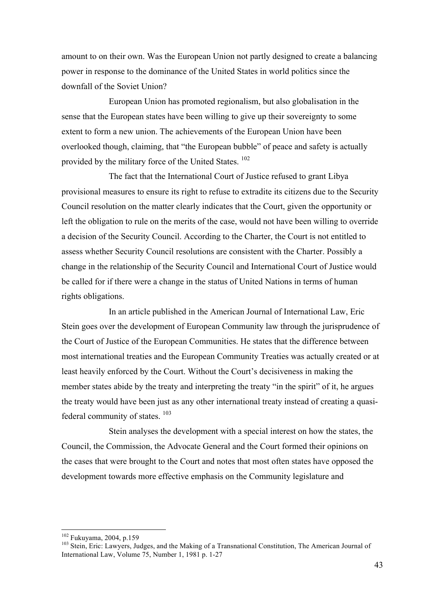amount to on their own. Was the European Union not partly designed to create a balancing power in response to the dominance of the United States in world politics since the downfall of the Soviet Union?

European Union has promoted regionalism, but also globalisation in the sense that the European states have been willing to give up their sovereignty to some extent to form a new union. The achievements of the European Union have been overlooked though, claiming, that "the European bubble" of peace and safety is actually provided by the military force of the United States. 102

The fact that the International Court of Justice refused to grant Libya provisional measures to ensure its right to refuse to extradite its citizens due to the Security Council resolution on the matter clearly indicates that the Court, given the opportunity or left the obligation to rule on the merits of the case, would not have been willing to override a decision of the Security Council. According to the Charter, the Court is not entitled to assess whether Security Council resolutions are consistent with the Charter. Possibly a change in the relationship of the Security Council and International Court of Justice would be called for if there were a change in the status of United Nations in terms of human rights obligations.

In an article published in the American Journal of International Law, Eric Stein goes over the development of European Community law through the jurisprudence of the Court of Justice of the European Communities. He states that the difference between most international treaties and the European Community Treaties was actually created or at least heavily enforced by the Court. Without the Court's decisiveness in making the member states abide by the treaty and interpreting the treaty "in the spirit" of it, he argues the treaty would have been just as any other international treaty instead of creating a quasifederal community of states.  $103$ 

Stein analyses the development with a special interest on how the states, the Council, the Commission, the Advocate General and the Court formed their opinions on the cases that were brought to the Court and notes that most often states have opposed the development towards more effective emphasis on the Community legislature and

<sup>&</sup>lt;sup>102</sup> Fukuyama, 2004, p.159<br><sup>103</sup> Stein, Eric: Lawyers, Judges, and the Making of a Transnational Constitution, The American Journal of International Law, Volume 75, Number 1, 1981 p. 1-27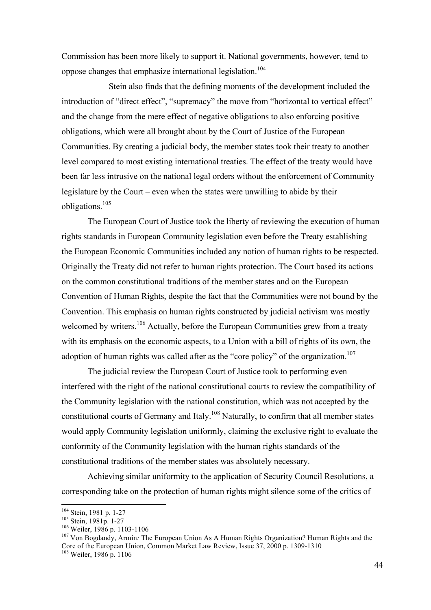Commission has been more likely to support it. National governments, however, tend to oppose changes that emphasize international legislation.<sup>104</sup>

Stein also finds that the defining moments of the development included the introduction of "direct effect", "supremacy" the move from "horizontal to vertical effect" and the change from the mere effect of negative obligations to also enforcing positive obligations, which were all brought about by the Court of Justice of the European Communities. By creating a judicial body, the member states took their treaty to another level compared to most existing international treaties. The effect of the treaty would have been far less intrusive on the national legal orders without the enforcement of Community legislature by the Court – even when the states were unwilling to abide by their obligations.<sup>105</sup>

The European Court of Justice took the liberty of reviewing the execution of human rights standards in European Community legislation even before the Treaty establishing the European Economic Communities included any notion of human rights to be respected. Originally the Treaty did not refer to human rights protection. The Court based its actions on the common constitutional traditions of the member states and on the European Convention of Human Rights, despite the fact that the Communities were not bound by the Convention. This emphasis on human rights constructed by judicial activism was mostly welcomed by writers.<sup>106</sup> Actually, before the European Communities grew from a treaty with its emphasis on the economic aspects, to a Union with a bill of rights of its own, the adoption of human rights was called after as the "core policy" of the organization.<sup>107</sup>

The judicial review the European Court of Justice took to performing even interfered with the right of the national constitutional courts to review the compatibility of the Community legislation with the national constitution, which was not accepted by the constitutional courts of Germany and Italy.<sup>108</sup> Naturally, to confirm that all member states would apply Community legislation uniformly, claiming the exclusive right to evaluate the conformity of the Community legislation with the human rights standards of the constitutional traditions of the member states was absolutely necessary.

Achieving similar uniformity to the application of Security Council Resolutions, a corresponding take on the protection of human rights might silence some of the critics of

<sup>104</sup> Stein, 1981 p. 1-27<br><sup>105</sup> Stein, 1981p. 1-27<br><sup>106</sup> Weiler, 1986 p. 1103-1106<br><sup>107</sup> Von Bogdandy, Armin: <sup>The European Union As A Human Rights Organization? Human Rights and the</sup> Core of the European Union, Common Market Law Review, Issue 37, 2000 p. 1309-1310<br><sup>108</sup> Weiler, 1986 p. 1106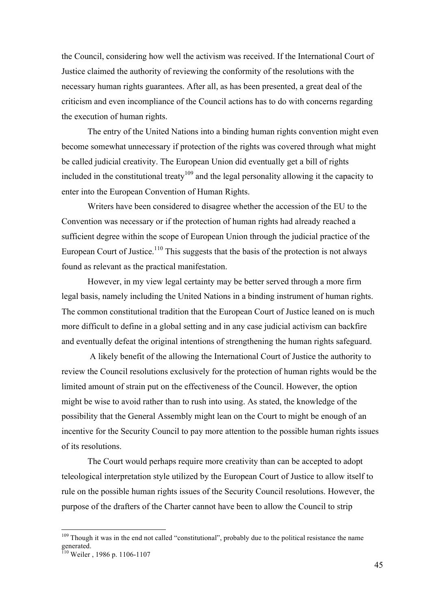the Council, considering how well the activism was received. If the International Court of Justice claimed the authority of reviewing the conformity of the resolutions with the necessary human rights guarantees. After all, as has been presented, a great deal of the criticism and even incompliance of the Council actions has to do with concerns regarding the execution of human rights.

The entry of the United Nations into a binding human rights convention might even become somewhat unnecessary if protection of the rights was covered through what might be called judicial creativity. The European Union did eventually get a bill of rights included in the constitutional treaty<sup>109</sup> and the legal personality allowing it the capacity to enter into the European Convention of Human Rights.

Writers have been considered to disagree whether the accession of the EU to the Convention was necessary or if the protection of human rights had already reached a sufficient degree within the scope of European Union through the judicial practice of the European Court of Justice.<sup>110</sup> This suggests that the basis of the protection is not always found as relevant as the practical manifestation.

However, in my view legal certainty may be better served through a more firm legal basis, namely including the United Nations in a binding instrument of human rights. The common constitutional tradition that the European Court of Justice leaned on is much more difficult to define in a global setting and in any case judicial activism can backfire and eventually defeat the original intentions of strengthening the human rights safeguard.

A likely benefit of the allowing the International Court of Justice the authority to review the Council resolutions exclusively for the protection of human rights would be the limited amount of strain put on the effectiveness of the Council. However, the option might be wise to avoid rather than to rush into using. As stated, the knowledge of the possibility that the General Assembly might lean on the Court to might be enough of an incentive for the Security Council to pay more attention to the possible human rights issues of its resolutions.

The Court would perhaps require more creativity than can be accepted to adopt teleological interpretation style utilized by the European Court of Justice to allow itself to rule on the possible human rights issues of the Security Council resolutions. However, the purpose of the drafters of the Charter cannot have been to allow the Council to strip

<sup>&</sup>lt;sup>109</sup> Though it was in the end not called "constitutional", probably due to the political resistance the name generated.<br><sup>110</sup> Weiler , 1986 p. 1106-1107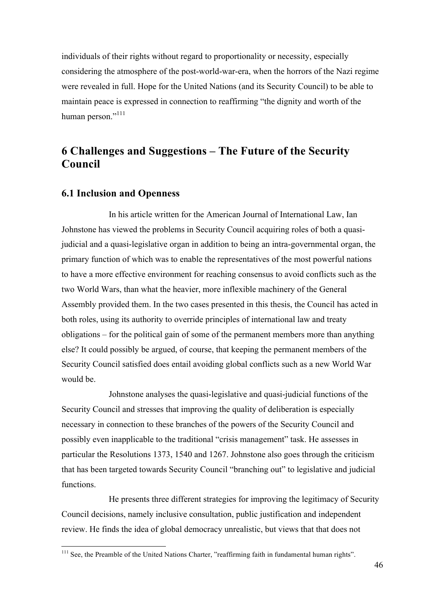individuals of their rights without regard to proportionality or necessity, especially considering the atmosphere of the post-world-war-era, when the horrors of the Nazi regime were revealed in full. Hope for the United Nations (and its Security Council) to be able to maintain peace is expressed in connection to reaffirming "the dignity and worth of the human person."<sup>111</sup>

## **6 Challenges and Suggestions – The Future of the Security Council**

## **6.1 Inclusion and Openness**

In his article written for the American Journal of International Law, Ian Johnstone has viewed the problems in Security Council acquiring roles of both a quasijudicial and a quasi-legislative organ in addition to being an intra-governmental organ, the primary function of which was to enable the representatives of the most powerful nations to have a more effective environment for reaching consensus to avoid conflicts such as the two World Wars, than what the heavier, more inflexible machinery of the General Assembly provided them. In the two cases presented in this thesis, the Council has acted in both roles, using its authority to override principles of international law and treaty obligations – for the political gain of some of the permanent members more than anything else? It could possibly be argued, of course, that keeping the permanent members of the Security Council satisfied does entail avoiding global conflicts such as a new World War would be.

Johnstone analyses the quasi-legislative and quasi-judicial functions of the Security Council and stresses that improving the quality of deliberation is especially necessary in connection to these branches of the powers of the Security Council and possibly even inapplicable to the traditional "crisis management" task. He assesses in particular the Resolutions 1373, 1540 and 1267. Johnstone also goes through the criticism that has been targeted towards Security Council "branching out" to legislative and judicial functions.

He presents three different strategies for improving the legitimacy of Security Council decisions, namely inclusive consultation, public justification and independent review. He finds the idea of global democracy unrealistic, but views that that does not

 $111$  See, the Preamble of the United Nations Charter, "reaffirming faith in fundamental human rights".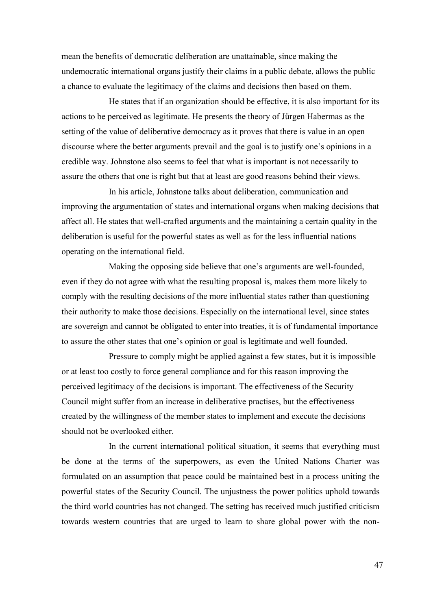mean the benefits of democratic deliberation are unattainable, since making the undemocratic international organs justify their claims in a public debate, allows the public a chance to evaluate the legitimacy of the claims and decisions then based on them.

He states that if an organization should be effective, it is also important for its actions to be perceived as legitimate. He presents the theory of Jürgen Habermas as the setting of the value of deliberative democracy as it proves that there is value in an open discourse where the better arguments prevail and the goal is to justify one's opinions in a credible way. Johnstone also seems to feel that what is important is not necessarily to assure the others that one is right but that at least are good reasons behind their views.

In his article, Johnstone talks about deliberation, communication and improving the argumentation of states and international organs when making decisions that affect all. He states that well-crafted arguments and the maintaining a certain quality in the deliberation is useful for the powerful states as well as for the less influential nations operating on the international field.

Making the opposing side believe that one's arguments are well-founded, even if they do not agree with what the resulting proposal is, makes them more likely to comply with the resulting decisions of the more influential states rather than questioning their authority to make those decisions. Especially on the international level, since states are sovereign and cannot be obligated to enter into treaties, it is of fundamental importance to assure the other states that one's opinion or goal is legitimate and well founded.

Pressure to comply might be applied against a few states, but it is impossible or at least too costly to force general compliance and for this reason improving the perceived legitimacy of the decisions is important. The effectiveness of the Security Council might suffer from an increase in deliberative practises, but the effectiveness created by the willingness of the member states to implement and execute the decisions should not be overlooked either.

In the current international political situation, it seems that everything must be done at the terms of the superpowers, as even the United Nations Charter was formulated on an assumption that peace could be maintained best in a process uniting the powerful states of the Security Council. The unjustness the power politics uphold towards the third world countries has not changed. The setting has received much justified criticism towards western countries that are urged to learn to share global power with the non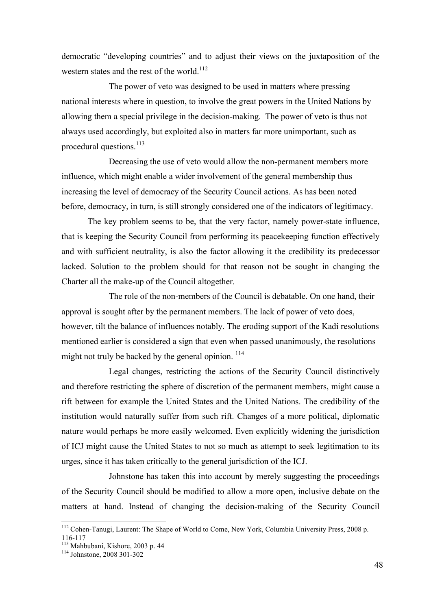democratic "developing countries" and to adjust their views on the juxtaposition of the western states and the rest of the world.<sup>112</sup>

The power of veto was designed to be used in matters where pressing national interests where in question, to involve the great powers in the United Nations by allowing them a special privilege in the decision-making. The power of veto is thus not always used accordingly, but exploited also in matters far more unimportant, such as procedural questions. $^{113}$ 

Decreasing the use of veto would allow the non-permanent members more influence, which might enable a wider involvement of the general membership thus increasing the level of democracy of the Security Council actions. As has been noted before, democracy, in turn, is still strongly considered one of the indicators of legitimacy.

The key problem seems to be, that the very factor, namely power-state influence, that is keeping the Security Council from performing its peacekeeping function effectively and with sufficient neutrality, is also the factor allowing it the credibility its predecessor lacked. Solution to the problem should for that reason not be sought in changing the Charter all the make-up of the Council altogether.

The role of the non-members of the Council is debatable. On one hand, their approval is sought after by the permanent members. The lack of power of veto does, however, tilt the balance of influences notably. The eroding support of the Kadi resolutions mentioned earlier is considered a sign that even when passed unanimously, the resolutions might not truly be backed by the general opinion.<sup>114</sup>

Legal changes, restricting the actions of the Security Council distinctively and therefore restricting the sphere of discretion of the permanent members, might cause a rift between for example the United States and the United Nations. The credibility of the institution would naturally suffer from such rift. Changes of a more political, diplomatic nature would perhaps be more easily welcomed. Even explicitly widening the jurisdiction of ICJ might cause the United States to not so much as attempt to seek legitimation to its urges, since it has taken critically to the general jurisdiction of the ICJ.

Johnstone has taken this into account by merely suggesting the proceedings of the Security Council should be modified to allow a more open, inclusive debate on the matters at hand. Instead of changing the decision-making of the Security Council

<sup>&</sup>lt;sup>112</sup> Cohen-Tanugi, Laurent: The Shape of World to Come, New York, Columbia University Press, 2008 p.

<sup>116-117</sup> <sup>113</sup> Mahbubani, Kishore, 2003 p. 44 <sup>114</sup> Johnstone, 2008 301-302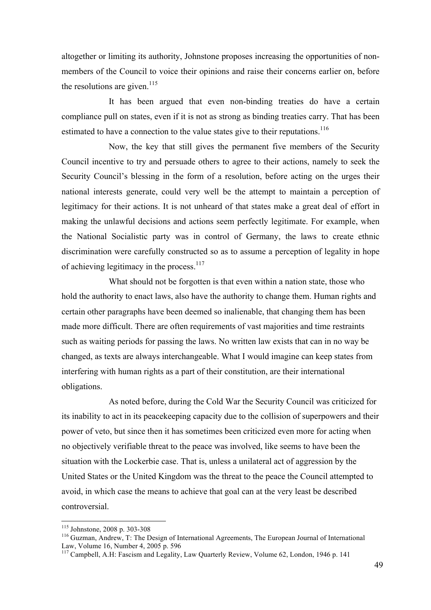altogether or limiting its authority, Johnstone proposes increasing the opportunities of nonmembers of the Council to voice their opinions and raise their concerns earlier on, before the resolutions are given.<sup>115</sup>

It has been argued that even non-binding treaties do have a certain compliance pull on states, even if it is not as strong as binding treaties carry. That has been estimated to have a connection to the value states give to their reputations.<sup>116</sup>

Now, the key that still gives the permanent five members of the Security Council incentive to try and persuade others to agree to their actions, namely to seek the Security Council's blessing in the form of a resolution, before acting on the urges their national interests generate, could very well be the attempt to maintain a perception of legitimacy for their actions. It is not unheard of that states make a great deal of effort in making the unlawful decisions and actions seem perfectly legitimate. For example, when the National Socialistic party was in control of Germany, the laws to create ethnic discrimination were carefully constructed so as to assume a perception of legality in hope of achieving legitimacy in the process.<sup>117</sup>

What should not be forgotten is that even within a nation state, those who hold the authority to enact laws, also have the authority to change them. Human rights and certain other paragraphs have been deemed so inalienable, that changing them has been made more difficult. There are often requirements of vast majorities and time restraints such as waiting periods for passing the laws. No written law exists that can in no way be changed, as texts are always interchangeable. What I would imagine can keep states from interfering with human rights as a part of their constitution, are their international obligations.

As noted before, during the Cold War the Security Council was criticized for its inability to act in its peacekeeping capacity due to the collision of superpowers and their power of veto, but since then it has sometimes been criticized even more for acting when no objectively verifiable threat to the peace was involved, like seems to have been the situation with the Lockerbie case. That is, unless a unilateral act of aggression by the United States or the United Kingdom was the threat to the peace the Council attempted to avoid, in which case the means to achieve that goal can at the very least be described controversial.

<sup>&</sup>lt;sup>115</sup> Johnstone, 2008 p. 303-308<br><sup>116</sup> Guzman, Andrew, T: The Design of International Agreements, The European Journal of International Law, Volume 16, Number 4, 2005 p. 596

<sup>&</sup>lt;sup>117</sup> Campbell, A.H: Fascism and Legality, Law Quarterly Review, Volume 62, London, 1946 p. 141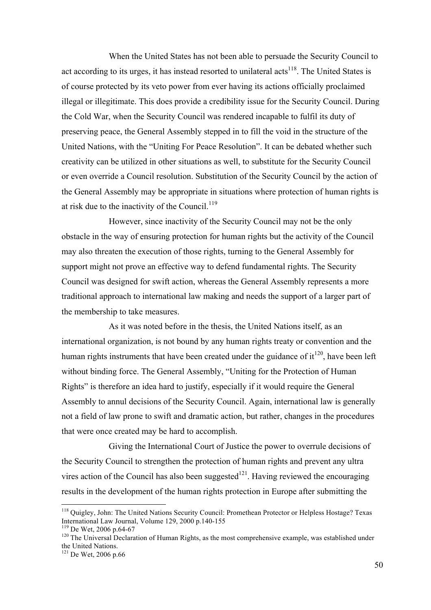When the United States has not been able to persuade the Security Council to act according to its urges, it has instead resorted to unilateral acts<sup>118</sup>. The United States is of course protected by its veto power from ever having its actions officially proclaimed illegal or illegitimate. This does provide a credibility issue for the Security Council. During the Cold War, when the Security Council was rendered incapable to fulfil its duty of preserving peace, the General Assembly stepped in to fill the void in the structure of the United Nations, with the "Uniting For Peace Resolution". It can be debated whether such creativity can be utilized in other situations as well, to substitute for the Security Council or even override a Council resolution. Substitution of the Security Council by the action of the General Assembly may be appropriate in situations where protection of human rights is at risk due to the inactivity of the Council.<sup>119</sup>

However, since inactivity of the Security Council may not be the only obstacle in the way of ensuring protection for human rights but the activity of the Council may also threaten the execution of those rights, turning to the General Assembly for support might not prove an effective way to defend fundamental rights. The Security Council was designed for swift action, whereas the General Assembly represents a more traditional approach to international law making and needs the support of a larger part of the membership to take measures.

As it was noted before in the thesis, the United Nations itself, as an international organization, is not bound by any human rights treaty or convention and the human rights instruments that have been created under the guidance of  $it^{120}$ , have been left without binding force. The General Assembly, "Uniting for the Protection of Human Rights" is therefore an idea hard to justify, especially if it would require the General Assembly to annul decisions of the Security Council. Again, international law is generally not a field of law prone to swift and dramatic action, but rather, changes in the procedures that were once created may be hard to accomplish.

Giving the International Court of Justice the power to overrule decisions of the Security Council to strengthen the protection of human rights and prevent any ultra vires action of the Council has also been suggested $^{121}$ . Having reviewed the encouraging results in the development of the human rights protection in Europe after submitting the

<sup>&</sup>lt;sup>118</sup> Quigley, John: The United Nations Security Council: Promethean Protector or Helpless Hostage? Texas International Law Journal, Volume 129, 2000 p.140-155

<sup>&</sup>lt;sup>119</sup> De Wet, 2006 p.64-67<br><sup>120</sup> The Universal Declaration of Human Rights, as the most comprehensive example, was established under<br>the United Nations.

 $121$  De Wet, 2006 p.66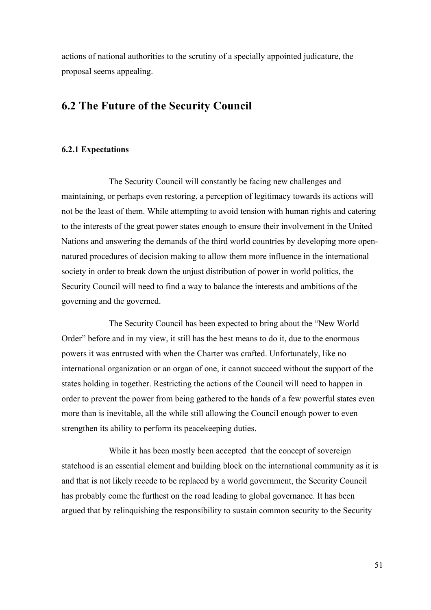actions of national authorities to the scrutiny of a specially appointed judicature, the proposal seems appealing.

## **6.2 The Future of the Security Council**

### **6.2.1 Expectations**

The Security Council will constantly be facing new challenges and maintaining, or perhaps even restoring, a perception of legitimacy towards its actions will not be the least of them. While attempting to avoid tension with human rights and catering to the interests of the great power states enough to ensure their involvement in the United Nations and answering the demands of the third world countries by developing more opennatured procedures of decision making to allow them more influence in the international society in order to break down the unjust distribution of power in world politics, the Security Council will need to find a way to balance the interests and ambitions of the governing and the governed.

The Security Council has been expected to bring about the "New World Order" before and in my view, it still has the best means to do it, due to the enormous powers it was entrusted with when the Charter was crafted. Unfortunately, like no international organization or an organ of one, it cannot succeed without the support of the states holding in together. Restricting the actions of the Council will need to happen in order to prevent the power from being gathered to the hands of a few powerful states even more than is inevitable, all the while still allowing the Council enough power to even strengthen its ability to perform its peacekeeping duties.

While it has been mostly been accepted that the concept of sovereign statehood is an essential element and building block on the international community as it is and that is not likely recede to be replaced by a world government, the Security Council has probably come the furthest on the road leading to global governance. It has been argued that by relinquishing the responsibility to sustain common security to the Security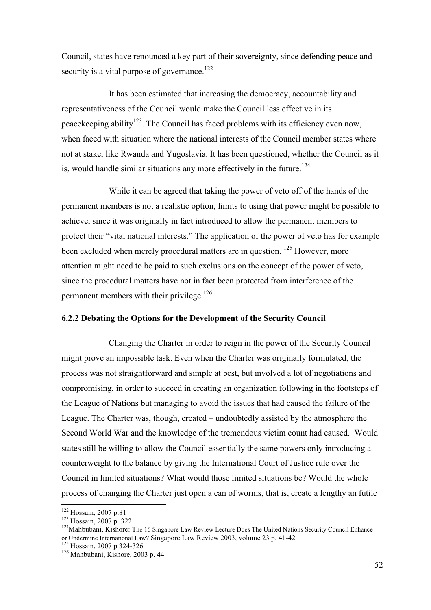Council, states have renounced a key part of their sovereignty, since defending peace and security is a vital purpose of governance.<sup>122</sup>

It has been estimated that increasing the democracy, accountability and representativeness of the Council would make the Council less effective in its peace keeping ability<sup>123</sup>. The Council has faced problems with its efficiency even now, when faced with situation where the national interests of the Council member states where not at stake, like Rwanda and Yugoslavia. It has been questioned, whether the Council as it is, would handle similar situations any more effectively in the future.<sup>124</sup>

While it can be agreed that taking the power of veto off of the hands of the permanent members is not a realistic option, limits to using that power might be possible to achieve, since it was originally in fact introduced to allow the permanent members to protect their "vital national interests." The application of the power of veto has for example been excluded when merely procedural matters are in question.  $125$  However, more attention might need to be paid to such exclusions on the concept of the power of veto, since the procedural matters have not in fact been protected from interference of the permanent members with their privilege.<sup>126</sup>

## **6.2.2 Debating the Options for the Development of the Security Council**

Changing the Charter in order to reign in the power of the Security Council might prove an impossible task. Even when the Charter was originally formulated, the process was not straightforward and simple at best, but involved a lot of negotiations and compromising, in order to succeed in creating an organization following in the footsteps of the League of Nations but managing to avoid the issues that had caused the failure of the League. The Charter was, though, created – undoubtedly assisted by the atmosphere the Second World War and the knowledge of the tremendous victim count had caused. Would states still be willing to allow the Council essentially the same powers only introducing a counterweight to the balance by giving the International Court of Justice rule over the Council in limited situations? What would those limited situations be? Would the whole process of changing the Charter just open a can of worms, that is, create a lengthy an futile

<sup>&</sup>lt;sup>122</sup> Hossain, 2007 p.81<br><sup>123</sup> Hossain, 2007 p. 322<br><sup>124</sup>Mahbubani, Kishore: The 16 Singapore Law Review Lecture Does The United Nations Security Council Enhance or Undermine International Law? Singapore Law Review 2003, volume 23 p. 41-42<br><sup>125</sup> Hossain, 2007 p 324-326<br><sup>126</sup> Mahbubani, Kishore, 2003 p. 44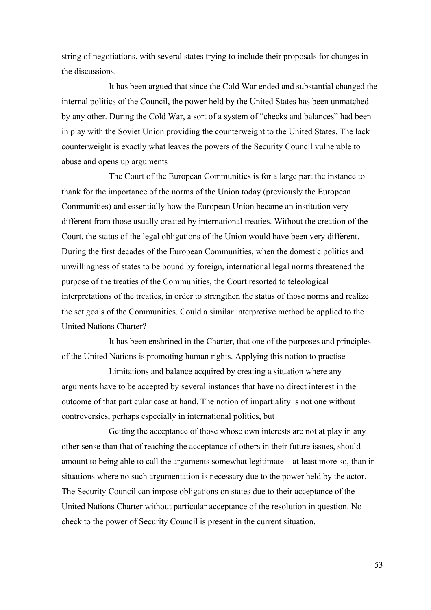string of negotiations, with several states trying to include their proposals for changes in the discussions.

It has been argued that since the Cold War ended and substantial changed the internal politics of the Council, the power held by the United States has been unmatched by any other. During the Cold War, a sort of a system of "checks and balances" had been in play with the Soviet Union providing the counterweight to the United States. The lack counterweight is exactly what leaves the powers of the Security Council vulnerable to abuse and opens up arguments

The Court of the European Communities is for a large part the instance to thank for the importance of the norms of the Union today (previously the European Communities) and essentially how the European Union became an institution very different from those usually created by international treaties. Without the creation of the Court, the status of the legal obligations of the Union would have been very different. During the first decades of the European Communities, when the domestic politics and unwillingness of states to be bound by foreign, international legal norms threatened the purpose of the treaties of the Communities, the Court resorted to teleological interpretations of the treaties, in order to strengthen the status of those norms and realize the set goals of the Communities. Could a similar interpretive method be applied to the United Nations Charter?

It has been enshrined in the Charter, that one of the purposes and principles of the United Nations is promoting human rights. Applying this notion to practise

Limitations and balance acquired by creating a situation where any arguments have to be accepted by several instances that have no direct interest in the outcome of that particular case at hand. The notion of impartiality is not one without controversies, perhaps especially in international politics, but

Getting the acceptance of those whose own interests are not at play in any other sense than that of reaching the acceptance of others in their future issues, should amount to being able to call the arguments somewhat legitimate – at least more so, than in situations where no such argumentation is necessary due to the power held by the actor. The Security Council can impose obligations on states due to their acceptance of the United Nations Charter without particular acceptance of the resolution in question. No check to the power of Security Council is present in the current situation.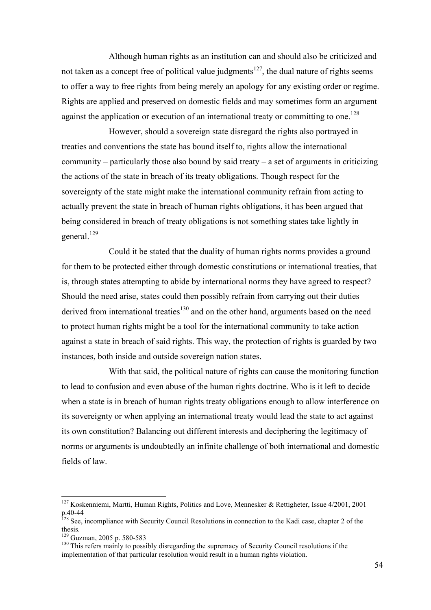Although human rights as an institution can and should also be criticized and not taken as a concept free of political value judgments<sup>127</sup>, the dual nature of rights seems to offer a way to free rights from being merely an apology for any existing order or regime. Rights are applied and preserved on domestic fields and may sometimes form an argument against the application or execution of an international treaty or committing to one.<sup>128</sup>

However, should a sovereign state disregard the rights also portrayed in treaties and conventions the state has bound itself to, rights allow the international community – particularly those also bound by said treaty – a set of arguments in criticizing the actions of the state in breach of its treaty obligations. Though respect for the sovereignty of the state might make the international community refrain from acting to actually prevent the state in breach of human rights obligations, it has been argued that being considered in breach of treaty obligations is not something states take lightly in general.<sup>129</sup>

Could it be stated that the duality of human rights norms provides a ground for them to be protected either through domestic constitutions or international treaties, that is, through states attempting to abide by international norms they have agreed to respect? Should the need arise, states could then possibly refrain from carrying out their duties derived from international treaties<sup>130</sup> and on the other hand, arguments based on the need to protect human rights might be a tool for the international community to take action against a state in breach of said rights. This way, the protection of rights is guarded by two instances, both inside and outside sovereign nation states.

With that said, the political nature of rights can cause the monitoring function to lead to confusion and even abuse of the human rights doctrine. Who is it left to decide when a state is in breach of human rights treaty obligations enough to allow interference on its sovereignty or when applying an international treaty would lead the state to act against its own constitution? Balancing out different interests and deciphering the legitimacy of norms or arguments is undoubtedly an infinite challenge of both international and domestic fields of law.

 <sup>127</sup> Koskenniemi, Martti, Human Rights, Politics and Love, Mennesker & Rettigheter, Issue 4/2001, <sup>2001</sup> p.40-44<br><sup>128</sup> See, incompliance with Security Council Resolutions in connection to the Kadi case, chapter 2 of the

thesis.

 $129$  Guzman, 2005 p. 580-583<br> $130$  This refers mainly to possibly disregarding the supremacy of Security Council resolutions if the implementation of that particular resolution would result in a human rights violation.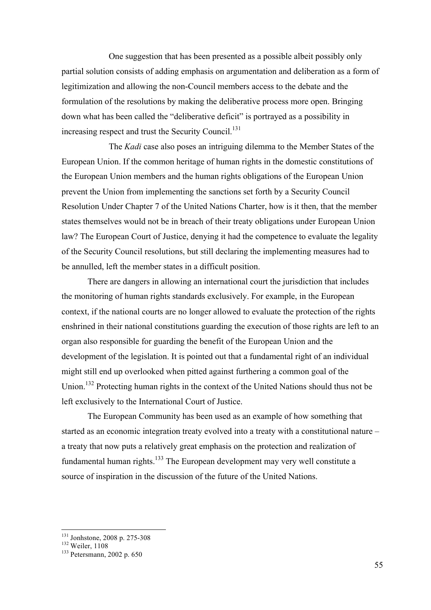One suggestion that has been presented as a possible albeit possibly only partial solution consists of adding emphasis on argumentation and deliberation as a form of legitimization and allowing the non-Council members access to the debate and the formulation of the resolutions by making the deliberative process more open. Bringing down what has been called the "deliberative deficit" is portrayed as a possibility in increasing respect and trust the Security Council.<sup>131</sup>

The *Kadi* case also poses an intriguing dilemma to the Member States of the European Union. If the common heritage of human rights in the domestic constitutions of the European Union members and the human rights obligations of the European Union prevent the Union from implementing the sanctions set forth by a Security Council Resolution Under Chapter 7 of the United Nations Charter, how is it then, that the member states themselves would not be in breach of their treaty obligations under European Union law? The European Court of Justice, denying it had the competence to evaluate the legality of the Security Council resolutions, but still declaring the implementing measures had to be annulled, left the member states in a difficult position.

There are dangers in allowing an international court the jurisdiction that includes the monitoring of human rights standards exclusively. For example, in the European context, if the national courts are no longer allowed to evaluate the protection of the rights enshrined in their national constitutions guarding the execution of those rights are left to an organ also responsible for guarding the benefit of the European Union and the development of the legislation. It is pointed out that a fundamental right of an individual might still end up overlooked when pitted against furthering a common goal of the Union.<sup>132</sup> Protecting human rights in the context of the United Nations should thus not be left exclusively to the International Court of Justice.

The European Community has been used as an example of how something that started as an economic integration treaty evolved into a treaty with a constitutional nature – a treaty that now puts a relatively great emphasis on the protection and realization of fundamental human rights.<sup>133</sup> The European development may very well constitute a source of inspiration in the discussion of the future of the United Nations.

<sup>&</sup>lt;sup>131</sup> Jonhstone, 2008 p. 275-308<br><sup>132</sup> Weiler, 1108<br><sup>133</sup> Petersmann, 2002 p. 650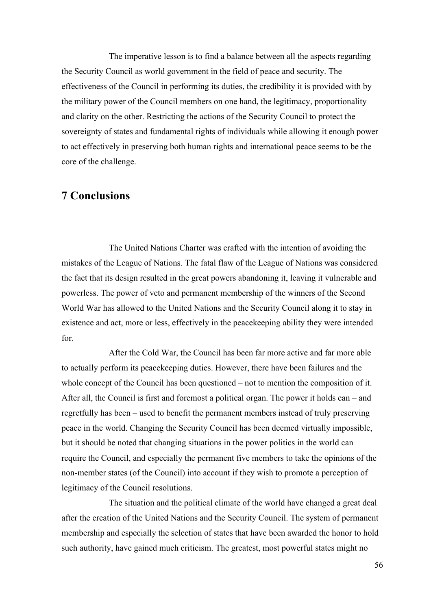The imperative lesson is to find a balance between all the aspects regarding the Security Council as world government in the field of peace and security. The effectiveness of the Council in performing its duties, the credibility it is provided with by the military power of the Council members on one hand, the legitimacy, proportionality and clarity on the other. Restricting the actions of the Security Council to protect the sovereignty of states and fundamental rights of individuals while allowing it enough power to act effectively in preserving both human rights and international peace seems to be the core of the challenge.

## **7 Conclusions**

The United Nations Charter was crafted with the intention of avoiding the mistakes of the League of Nations. The fatal flaw of the League of Nations was considered the fact that its design resulted in the great powers abandoning it, leaving it vulnerable and powerless. The power of veto and permanent membership of the winners of the Second World War has allowed to the United Nations and the Security Council along it to stay in existence and act, more or less, effectively in the peacekeeping ability they were intended for.

After the Cold War, the Council has been far more active and far more able to actually perform its peacekeeping duties. However, there have been failures and the whole concept of the Council has been questioned – not to mention the composition of it. After all, the Council is first and foremost a political organ. The power it holds can – and regretfully has been – used to benefit the permanent members instead of truly preserving peace in the world. Changing the Security Council has been deemed virtually impossible, but it should be noted that changing situations in the power politics in the world can require the Council, and especially the permanent five members to take the opinions of the non-member states (of the Council) into account if they wish to promote a perception of legitimacy of the Council resolutions.

The situation and the political climate of the world have changed a great deal after the creation of the United Nations and the Security Council. The system of permanent membership and especially the selection of states that have been awarded the honor to hold such authority, have gained much criticism. The greatest, most powerful states might no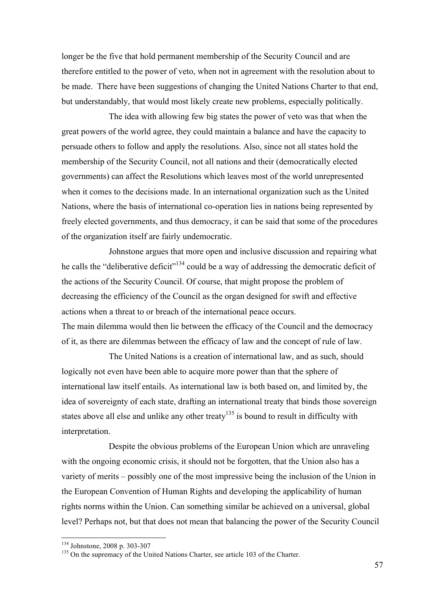longer be the five that hold permanent membership of the Security Council and are therefore entitled to the power of veto, when not in agreement with the resolution about to be made. There have been suggestions of changing the United Nations Charter to that end, but understandably, that would most likely create new problems, especially politically.

The idea with allowing few big states the power of veto was that when the great powers of the world agree, they could maintain a balance and have the capacity to persuade others to follow and apply the resolutions. Also, since not all states hold the membership of the Security Council, not all nations and their (democratically elected governments) can affect the Resolutions which leaves most of the world unrepresented when it comes to the decisions made. In an international organization such as the United Nations, where the basis of international co-operation lies in nations being represented by freely elected governments, and thus democracy, it can be said that some of the procedures of the organization itself are fairly undemocratic.

Johnstone argues that more open and inclusive discussion and repairing what he calls the "deliberative deficit"<sup>134</sup> could be a way of addressing the democratic deficit of the actions of the Security Council. Of course, that might propose the problem of decreasing the efficiency of the Council as the organ designed for swift and effective actions when a threat to or breach of the international peace occurs. The main dilemma would then lie between the efficacy of the Council and the democracy of it, as there are dilemmas between the efficacy of law and the concept of rule of law.

The United Nations is a creation of international law, and as such, should logically not even have been able to acquire more power than that the sphere of international law itself entails. As international law is both based on, and limited by, the idea of sovereignty of each state, drafting an international treaty that binds those sovereign states above all else and unlike any other treaty<sup>135</sup> is bound to result in difficulty with interpretation.

Despite the obvious problems of the European Union which are unraveling with the ongoing economic crisis, it should not be forgotten, that the Union also has a variety of merits – possibly one of the most impressive being the inclusion of the Union in the European Convention of Human Rights and developing the applicability of human rights norms within the Union. Can something similar be achieved on a universal, global level? Perhaps not, but that does not mean that balancing the power of the Security Council

<sup>&</sup>lt;sup>134</sup> Johnstone, 2008 p. 303-307<br><sup>135</sup> On the supremacy of the United Nations Charter, see article 103 of the Charter.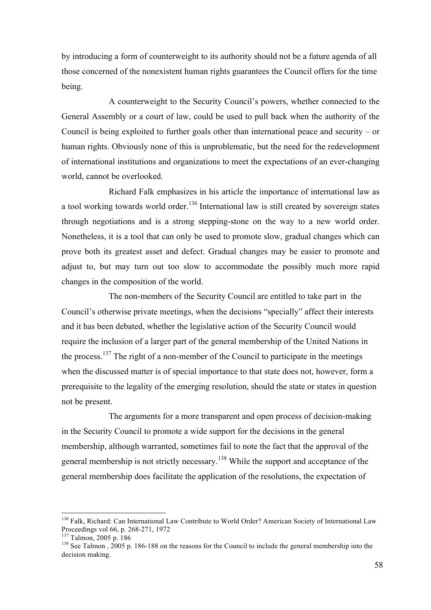by introducing a form of counterweight to its authority should not be a future agenda of all those concerned of the nonexistent human rights guarantees the Council offers for the time being.

A counterweight to the Security Council's powers, whether connected to the General Assembly or a court of law, could be used to pull back when the authority of the Council is being exploited to further goals other than international peace and security – or human rights. Obviously none of this is unproblematic, but the need for the redevelopment of international institutions and organizations to meet the expectations of an ever-changing world, cannot be overlooked.

Richard Falk emphasizes in his article the importance of international law as a tool working towards world order.<sup>136</sup> International law is still created by sovereign states through negotiations and is a strong stepping-stone on the way to a new world order. Nonetheless, it is a tool that can only be used to promote slow, gradual changes which can prove both its greatest asset and defect. Gradual changes may be easier to promote and adjust to, but may turn out too slow to accommodate the possibly much more rapid changes in the composition of the world.

The non-members of the Security Council are entitled to take part in the Council's otherwise private meetings, when the decisions "specially" affect their interests and it has been debated, whether the legislative action of the Security Council would require the inclusion of a larger part of the general membership of the United Nations in the process.<sup>137</sup> The right of a non-member of the Council to participate in the meetings when the discussed matter is of special importance to that state does not, however, form a prerequisite to the legality of the emerging resolution, should the state or states in question not be present.

The arguments for a more transparent and open process of decision-making in the Security Council to promote a wide support for the decisions in the general membership, although warranted, sometimes fail to note the fact that the approval of the general membership is not strictly necessary.<sup>138</sup> While the support and acceptance of the general membership does facilitate the application of the resolutions, the expectation of

<sup>&</sup>lt;sup>136</sup> Falk, Richard: Can International Law Contribute to World Order? American Society of International Law Proceedings vol 66, p. 268-271, 1972

<sup>&</sup>lt;sup>137</sup> Talmon, 2005 p. 186<br><sup>138</sup> See Talmon, 2005 p. 186-188 on the reasons for the Council to include the general membership into the decision making.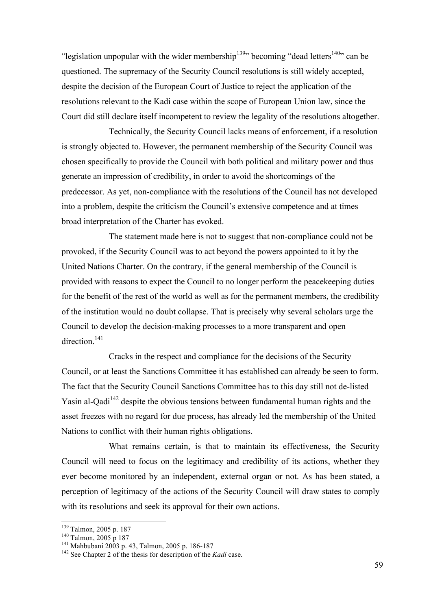"legislation unpopular with the wider membership<sup>139</sup>" becoming "dead letters<sup>140</sup>" can be questioned. The supremacy of the Security Council resolutions is still widely accepted, despite the decision of the European Court of Justice to reject the application of the resolutions relevant to the Kadi case within the scope of European Union law, since the Court did still declare itself incompetent to review the legality of the resolutions altogether.

Technically, the Security Council lacks means of enforcement, if a resolution is strongly objected to. However, the permanent membership of the Security Council was chosen specifically to provide the Council with both political and military power and thus generate an impression of credibility, in order to avoid the shortcomings of the predecessor. As yet, non-compliance with the resolutions of the Council has not developed into a problem, despite the criticism the Council's extensive competence and at times broad interpretation of the Charter has evoked.

The statement made here is not to suggest that non-compliance could not be provoked, if the Security Council was to act beyond the powers appointed to it by the United Nations Charter. On the contrary, if the general membership of the Council is provided with reasons to expect the Council to no longer perform the peacekeeping duties for the benefit of the rest of the world as well as for the permanent members, the credibility of the institution would no doubt collapse. That is precisely why several scholars urge the Council to develop the decision-making processes to a more transparent and open direction.<sup>141</sup>

Cracks in the respect and compliance for the decisions of the Security Council, or at least the Sanctions Committee it has established can already be seen to form. The fact that the Security Council Sanctions Committee has to this day still not de-listed Yasin al-Qadi<sup>142</sup> despite the obvious tensions between fundamental human rights and the asset freezes with no regard for due process, has already led the membership of the United Nations to conflict with their human rights obligations.

What remains certain, is that to maintain its effectiveness, the Security Council will need to focus on the legitimacy and credibility of its actions, whether they ever become monitored by an independent, external organ or not. As has been stated, a perception of legitimacy of the actions of the Security Council will draw states to comply with its resolutions and seek its approval for their own actions.

<sup>&</sup>lt;sup>139</sup> Talmon, 2005 p. 187<br><sup>140</sup> Talmon, 2005 p 187<br><sup>141</sup> Mahbubani 2003 p. 43, Talmon, 2005 p. 186-187<br><sup>142</sup> See Chapter 2 of the thesis for description of the *Kadi* case.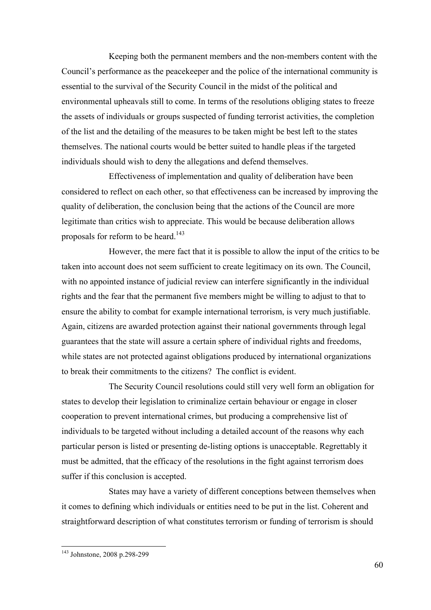Keeping both the permanent members and the non-members content with the Council's performance as the peacekeeper and the police of the international community is essential to the survival of the Security Council in the midst of the political and environmental upheavals still to come. In terms of the resolutions obliging states to freeze the assets of individuals or groups suspected of funding terrorist activities, the completion of the list and the detailing of the measures to be taken might be best left to the states themselves. The national courts would be better suited to handle pleas if the targeted individuals should wish to deny the allegations and defend themselves.

Effectiveness of implementation and quality of deliberation have been considered to reflect on each other, so that effectiveness can be increased by improving the quality of deliberation, the conclusion being that the actions of the Council are more legitimate than critics wish to appreciate. This would be because deliberation allows proposals for reform to be heard.<sup>143</sup>

However, the mere fact that it is possible to allow the input of the critics to be taken into account does not seem sufficient to create legitimacy on its own. The Council, with no appointed instance of judicial review can interfere significantly in the individual rights and the fear that the permanent five members might be willing to adjust to that to ensure the ability to combat for example international terrorism, is very much justifiable. Again, citizens are awarded protection against their national governments through legal guarantees that the state will assure a certain sphere of individual rights and freedoms, while states are not protected against obligations produced by international organizations to break their commitments to the citizens? The conflict is evident.

The Security Council resolutions could still very well form an obligation for states to develop their legislation to criminalize certain behaviour or engage in closer cooperation to prevent international crimes, but producing a comprehensive list of individuals to be targeted without including a detailed account of the reasons why each particular person is listed or presenting de-listing options is unacceptable. Regrettably it must be admitted, that the efficacy of the resolutions in the fight against terrorism does suffer if this conclusion is accepted.

States may have a variety of different conceptions between themselves when it comes to defining which individuals or entities need to be put in the list. Coherent and straightforward description of what constitutes terrorism or funding of terrorism is should

 <sup>143</sup> Johnstone, 2008 p.298-299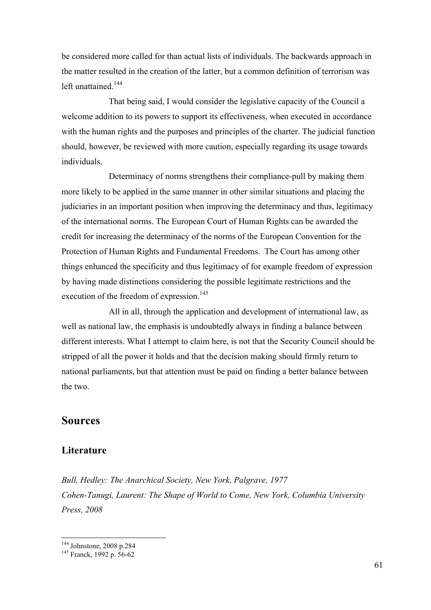be considered more called for than actual lists of individuals. The backwards approach in the matter resulted in the creation of the latter, but a common definition of terrorism was left unattained.<sup>144</sup>

That being said, I would consider the legislative capacity of the Council a welcome addition to its powers to support its effectiveness, when executed in accordance with the human rights and the purposes and principles of the charter. The judicial function should, however, be reviewed with more caution, especially regarding its usage towards individuals.

Determinacy of norms strengthens their compliance-pull by making them more likely to be applied in the same manner in other similar situations and placing the judiciaries in an important position when improving the determinacy and thus, legitimacy of the international norms. The European Court of Human Rights can be awarded the credit for increasing the determinacy of the norms of the European Convention for the Protection of Human Rights and Fundamental Freedoms. The Court has among other things enhanced the specificity and thus legitimacy of for example freedom of expression by having made distinctions considering the possible legitimate restrictions and the execution of the freedom of expression.<sup>145</sup>

All in all, through the application and development of international law, as well as national law, the emphasis is undoubtedly always in finding a balance between different interests. What I attempt to claim here, is not that the Security Council should be stripped of all the power it holds and that the decision making should firmly return to national parliaments, but that attention must be paid on finding a better balance between the two.

## **Sources**

## **Literature**

*Bull, Hedley: The Anarchical Society, New York, Palgrave, 1977 Cohen-Tanugi, Laurent: The Shape of World to Come, New York, Columbia University Press, 2008*

<sup>144</sup> Johnstone, 2008 p.284 <sup>145</sup> Franck, 1992 p. 56-62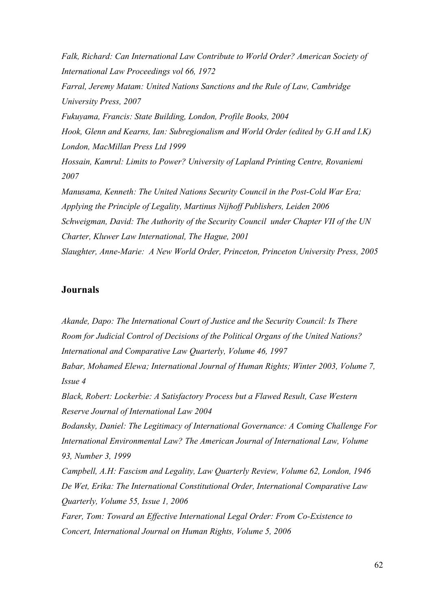*Falk, Richard: Can International Law Contribute to World Order? American Society of International Law Proceedings vol 66, 1972 Farral, Jeremy Matam: United Nations Sanctions and the Rule of Law, Cambridge University Press, 2007 Fukuyama, Francis: State Building, London, Profile Books, 2004 Hook, Glenn and Kearns, Ian: Subregionalism and World Order (edited by G.H and I.K) London, MacMillan Press Ltd 1999*

*Hossain, Kamrul: Limits to Power? University of Lapland Printing Centre, Rovaniemi 2007*

*Manusama, Kenneth: The United Nations Security Council in the Post-Cold War Era; Applying the Principle of Legality, Martinus Nijhoff Publishers, Leiden 2006 Schweigman, David: The Authority of the Security Council under Chapter VII of the UN Charter, Kluwer Law International, The Hague, 2001 Slaughter, Anne-Marie: A New World Order, Princeton, Princeton University Press, 2005*

## **Journals**

*Akande, Dapo: The International Court of Justice and the Security Council: Is There Room for Judicial Control of Decisions of the Political Organs of the United Nations? International and Comparative Law Quarterly, Volume 46, 1997*

*Babar, Mohamed Elewa; International Journal of Human Rights; Winter 2003, Volume 7, Issue 4*

*Black, Robert: Lockerbie: A Satisfactory Process but a Flawed Result, Case Western Reserve Journal of International Law 2004*

*Bodansky, Daniel: The Legitimacy of International Governance: A Coming Challenge For International Environmental Law? The American Journal of International Law, Volume 93, Number 3, 1999*

*Campbell, A.H: Fascism and Legality, Law Quarterly Review, Volume 62, London, 1946 De Wet, Erika: The International Constitutional Order, International Comparative Law Quarterly, Volume 55, Issue 1, 2006*

*Farer, Tom: Toward an Effective International Legal Order: From Co-Existence to Concert, International Journal on Human Rights, Volume 5, 2006*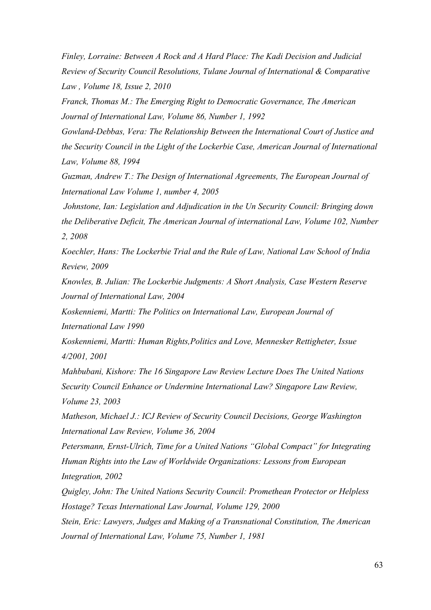*Finley, Lorraine: Between A Rock and A Hard Place: The Kadi Decision and Judicial Review of Security Council Resolutions, Tulane Journal of International & Comparative Law , Volume 18, Issue 2, 2010*

*Franck, Thomas M.: The Emerging Right to Democratic Governance, The American Journal of International Law, Volume 86, Number 1, 1992*

*Gowland-Debbas, Vera: The Relationship Between the International Court of Justice and the Security Council in the Light of the Lockerbie Case, American Journal of International Law, Volume 88, 1994*

*Guzman, Andrew T.: The Design of International Agreements, The European Journal of International Law Volume 1, number 4, 2005*

*Johnstone, Ian: Legislation and Adjudication in the Un Security Council: Bringing down the Deliberative Deficit, The American Journal of international Law, Volume 102, Number 2, 2008*

*Koechler, Hans: The Lockerbie Trial and the Rule of Law, National Law School of India Review, 2009*

*Knowles, B. Julian: The Lockerbie Judgments: A Short Analysis, Case Western Reserve Journal of International Law, 2004*

*Koskenniemi, Martti: The Politics on International Law, European Journal of International Law 1990*

*Koskenniemi, Martti: Human Rights,Politics and Love, Mennesker Rettigheter, Issue 4/2001, 2001*

*Mahbubani, Kishore: The 16 Singapore Law Review Lecture Does The United Nations Security Council Enhance or Undermine International Law? Singapore Law Review, Volume 23, 2003*

*Matheson, Michael J.: ICJ Review of Security Council Decisions, George Washington International Law Review, Volume 36, 2004*

*Petersmann, Ernst-Ulrich, Time for a United Nations "Global Compact" for Integrating Human Rights into the Law of Worldwide Organizations: Lessons from European Integration, 2002*

*Quigley, John: The United Nations Security Council: Promethean Protector or Helpless Hostage? Texas International Law Journal, Volume 129, 2000*

*Stein, Eric: Lawyers, Judges and Making of a Transnational Constitution, The American Journal of International Law, Volume 75, Number 1, 1981*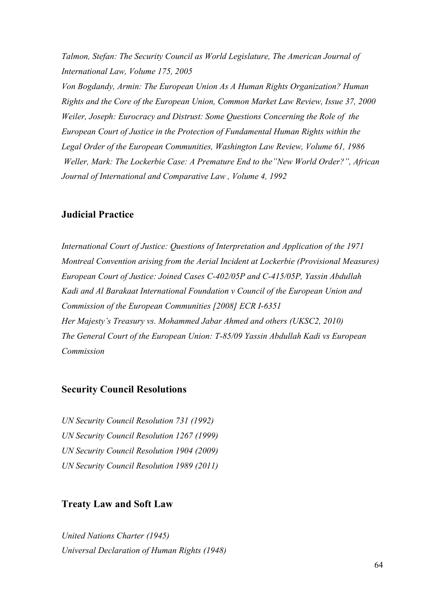*Talmon, Stefan: The Security Council as World Legislature, The American Journal of International Law, Volume 175, 2005*

*Von Bogdandy, Armin: The European Union As A Human Rights Organization? Human Rights and the Core of the European Union, Common Market Law Review, Issue 37, 2000 Weiler, Joseph: Eurocracy and Distrust: Some Questions Concerning the Role of the European Court of Justice in the Protection of Fundamental Human Rights within the Legal Order of the European Communities, Washington Law Review, Volume 61, 1986 Weller, Mark: The Lockerbie Case: A Premature End to the"New World Order?", African Journal of International and Comparative Law , Volume 4, 1992* 

## **Judicial Practice**

*International Court of Justice: Questions of Interpretation and Application of the 1971 Montreal Convention arising from the Aerial Incident at Lockerbie (Provisional Measures) European Court of Justice: Joined Cases C-402/05P and C-415/05P, Yassin Abdullah Kadi and Al Barakaat International Foundation v Council of the European Union and Commission of the European Communities [2008] ECR I-6351 Her Majesty's Treasury vs. Mohammed Jabar Ahmed and others (UKSC2, 2010) The General Court of the European Union: T-85/09 Yassin Abdullah Kadi vs European Commission*

## **Security Council Resolutions**

*UN Security Council Resolution 731 (1992) UN Security Council Resolution 1267 (1999) UN Security Council Resolution 1904 (2009) UN Security Council Resolution 1989 (2011)*

## **Treaty Law and Soft Law**

*United Nations Charter (1945) Universal Declaration of Human Rights (1948)*